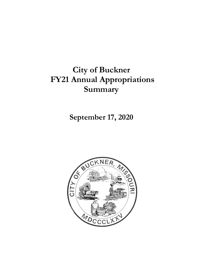# **City of Buckner FY21 Annual Appropriations Summary**

**September 17, 2020**

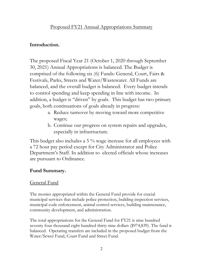## Proposed FY21 Annual Appropriations Summary

## **Introduction.**

The proposed Fiscal Year 21 (October 1, 2020 through September 30, 2021) Annual Appropriations is balanced. The Budget is comprised of the following six (6) Funds: General, Court, Fairs & Festivals, Parks, Streets and Water/Wastewater. All Funds are balanced, and the overall budget is balanced. Every budget intends to control spending and keep spending in line with income. In addition, a budget is "driven" by goals. This budget has two primary goals, both continuations of goals already in progress:

- a. Reduce turnover by moving toward more competitive wages;
- b. Continue our progress on system repairs and upgrades, especially in infrastructure.

This budget also includes a 5 % wage increase for all employees with a 72 hour pay period except for City Administrator and Police Department's Staff. In addition to elected officials whose increases are pursuant to Ordinance.

## **Fund Summary.**

## General Fund

The monies appropriated within the General Fund provide for crucial municipal services that include police protection, building inspection services, municipal code enforcement, animal control services, building maintenance, community development, and administration.

The total appropriations for the General Fund for FY21 is nine hundred seventy four thousand eight hundred thirty nine dollars (\$974,839). The fund is balanced. Operating transfers are included in the proposed budget from the Water/Sewer Fund, Court Fund and Street Fund.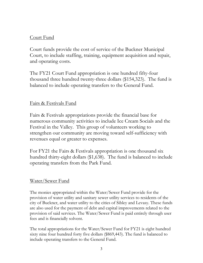## Court Fund

Court funds provide the cost of service of the Buckner Municipal Court, to include staffing, training, equipment acquisition and repair, and operating costs.

The FY21 Court Fund appropriation is one hundred fifty-four thousand three hundred twenty-three dollars (\$154,323). The fund is balanced to include operating transfers to the General Fund.

## Fairs & Festivals Fund

Fairs & Festivals appropriations provide the financial base for numerous community activities to include Ice Cream Socials and the Festival in the Valley. This group of volunteers working to strengthen our community are moving toward self-sufficiency with revenues equal or greater to expenses.

For FY21 the Fairs & Festivals appropriation is one thousand six hundred thirty-eight dollars (\$1,638). The fund is balanced to include operating transfers from the Park Fund.

## Water/Sewer Fund

The monies appropriated within the Water/Sewer Fund provide for the provision of water utility and sanitary sewer utility services to residents of the city of Buckner, and water utility to the cities of Sibley and Levasy. These funds are also used for the payment of debt and capital improvements related to the provision of said services. The Water/Sewer Fund is paid entirely through user fees and is financially solvent.

The total appropriations for the Water/Sewer Fund for FY21 is eight hundred sixty nine four hundred forty five dollars (\$869,443). The fund is balanced to include operating transfers to the General Fund.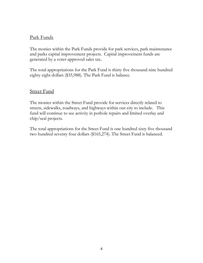## Park Funds

The monies within the Park Funds provide for park services, park maintenance and parks capital improvement projects. Capital improvement funds are generated by a voter-approved sales tax.

The total appropriations for the Park Fund is thirty five thousand nine hundred eighty eight dollars (\$35,988). The Park Fund is balance.

## Street Fund

The monies within the Street Fund provide for services directly related to streets, sidewalks, roadways, and highways within our city to include. This fund will continue to see activity in pothole repairs and limited overlay and chip/seal projects.

The total appropriations for the Street Fund is one hundred sixty five thousand two hundred seventy four dollars (\$165,274). The Street Fund is balanced.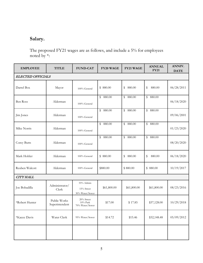## **Salary.**

The proposed FY21 wages are as follows, and include a 5% for employees noted by \*:

| <b>EMPLOYEE</b>          | <b>TITLE</b>                   | <b>FUND-CAT</b>                              | FY20 WAGE   | <b>FY21 WAGE</b>         | <b>ANNUAL</b><br><b>FY21</b> | ANNIV.<br><b>DATE</b> |
|--------------------------|--------------------------------|----------------------------------------------|-------------|--------------------------|------------------------------|-----------------------|
| <b>ELECTED OFFICIALS</b> |                                |                                              |             |                          |                              |                       |
| Darrel Box               | Mayor                          | 100% General                                 | \$880.00    | 880.00<br>\$             | \$<br>880.00                 | 06/28/2011            |
| Ben Ross                 | Alderman                       | 100% General                                 | \$880.00    | $\mathfrak{P}$<br>880.00 | \$880.00                     | 06/18/2020            |
| Jim Jones                | Alderman                       | 100% General                                 | \$880.00    | $\mathbb{S}$<br>880.00   | \$880.00                     | 09/06/2001            |
| Mike Norris              | Alderman                       | 100% General                                 | \$880.00    | 880.00<br>$\mathbb{S}$   | \$880.00                     | 01/23/2020            |
| Corey Butts              | Alderman                       | 100% General                                 | \$880.00    | $\mathfrak{S}$<br>880.00 | \$880.00                     | 08/20/2020            |
| Mark Hohler              | Alderman                       | 100% General                                 | \$880.00    | 880.00<br>$\mathbb{S}$   | \$<br>880.00                 | 06/18/2020            |
| Reuben Walcott           | Alderman                       | 100% General                                 | \$880.00    | \$880.00                 | \$880.00                     | 10/19/2017            |
| <b>CITY HALL</b>         |                                |                                              |             |                          |                              |                       |
| Joe Bobadilla            | Administrator/<br>Clerk        | 55% Admin<br>15% Street<br>30% Water/Sewer   | \$61,800.00 | \$61,800.00              | \$61,800.00                  | 08/23/2016            |
| *Robert Hunter           | Public Works<br>Superintendent | 20% Street<br>$10\%$ Park<br>70% Water/Sewer | \$17.00     | \$17.85                  | \$37,128.00                  | 10/29/2018            |
| *Kacee Davis             | Water Clerk                    | 95% Water/Sewer                              | \$14.72     | \$15.46                  | \$32,148.48                  | 05/09/2012            |
|                          |                                |                                              |             |                          |                              |                       |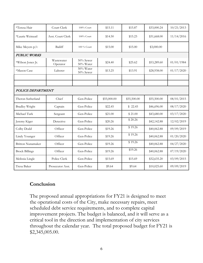| *Teresa Hair             | Court Clerk            | 100% Court             | \$15.11     | \$15.87     | \$33,000.24 | 10/21/2013 |
|--------------------------|------------------------|------------------------|-------------|-------------|-------------|------------|
| *Laurie Weinzatl         | Asst. Court Clerk      | 100% Court             | \$14.50     | \$15.23     | \$31,668.00 | 11/14/2016 |
| Mike Meyers p/t          | Bailiff                | 100 % Court            | \$15.00     | \$15.00     | \$3,000.00  |            |
| <b>PUBLIC WORKS</b>      |                        |                        |             |             |             |            |
| *Wilson Jones Jr.        | Wastewater<br>Operator | 50% Sewer<br>50% Water | \$24.40     | \$25.62     | \$53,289.60 | 01/01/1984 |
| *Mason Case              | Laborer                | 50% Water<br>50% Sewer | \$13.25     | \$13.91     | \$28,938.00 | 01/17/2020 |
|                          |                        |                        |             |             |             |            |
|                          |                        |                        |             |             |             |            |
| POLICE DEPARTMENT        |                        |                        |             |             |             |            |
| Theron Sutherland        | Chief                  | Gen-Police             | \$55,000.00 | \$55,500.00 | \$55,500.00 | 08/01/2015 |
| <b>Bradley Wright</b>    | Captain                | Gen-Police             | \$22.45     | \$22.45     | \$46,696.00 | 08/17/2020 |
| Michael Turk             | Sergeant               | Gen-Police             | \$21.00     | \$21.00     | \$43,680.00 | 03/17/2020 |
| Jeremy Kiger             | Detective              | Gen-Police             | \$20.26     | \$20.26     | \$42,142.88 | 12/02/2019 |
| Colby Dodd               | Officer                | Gen-Police             | \$19.26     | \$19.26     | \$40,062.88 | 09/09/2019 |
| Lindy Younger            | Officer                | Gen-Police             | \$19.26     | \$19.26     | \$40,062.88 | 01/20/2020 |
| <b>Britton Nunamaker</b> | Officer                | Gen-Police             | \$19.26     | \$19.26     | \$40,062.88 | 04/27/2020 |
| <b>Brock Billings</b>    | Officer                | Gen-Police             | \$19.26     | \$19.26     | \$40,062.88 | 07/19/2020 |
| Melissia Lingle          | Police Clerk           | Gen-Police             | \$15.69     | \$15.69     | \$32,635.20 | 03/09/2015 |
| Tresa Baker              | Prosecutor Asst.       | Gen-Police             | \$9.64      | \$9.64      | \$10,025.60 | 09/09/2019 |

## **Conclusion**

The proposed annual appropriations for FY21 is designed to meet the operational costs of the City, make necessary repairs, meet scheduled debt service requirements, and to complete capital improvement projects. The budget is balanced, and it will serve as a critical tool in the direction and implementation of city services throughout the calendar year. The total proposed budget for FY21 is \$2,345,005.00.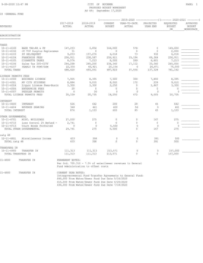#### 9-09-2020 12:47 PM CITY OF BUCKNER PAGE: 1 PROPOSED BUDGET WORKSHEET AS OF: September 17,2020

#### 10 -GENERAL FUND

|                                  |                            |                     |                                                                                                                  |                          | (-------------- 2019-2020 ----------------) (------- 2020-2021 --------) |                       |                                  |                                        |
|----------------------------------|----------------------------|---------------------|------------------------------------------------------------------------------------------------------------------|--------------------------|--------------------------------------------------------------------------|-----------------------|----------------------------------|----------------------------------------|
| <b>REVENUES</b>                  |                            | 2017-2018<br>ACTUAL | 2018-2019<br>ACTUAL                                                                                              | CURRENT<br><b>BUDGET</b> | YEAR-TO-DATE<br>ACTUAL                                                   | PROJECTED<br>YEAR END | REQUESTED<br><b>BUDGET</b><br>DR | APPROVED<br><b>BUDGET</b><br>WORKSPACE |
| ADMINISTRATION<br>============== |                            |                     |                                                                                                                  |                          |                                                                          |                       |                                  |                                        |
| TAXES                            |                            |                     |                                                                                                                  |                          |                                                                          |                       |                                  |                                        |
| $10 - 11 - 4100$                 | BASE TAX:RE & PP           | 147,253             | 3,854                                                                                                            | 164,000                  | 578                                                                      | $\mathbf{0}$          | 169,000                          |                                        |
| $10 - 11 - 4102$                 | JC TIF Surplus Replacemen  | 31                  | $\mathbf{0}$                                                                                                     | $\circ$                  | $\mathbf{0}$                                                             | $\mathbf{0}$          | 2,000                            |                                        |
| $10 - 11 - 4103$                 | PP DELINQUENT              | 9,253               | 157,276                                                                                                          | 6,018                    | 73                                                                       | 932                   | 6,018                            |                                        |
| $10 - 11 - 4104$                 | FRANCHISE FEES             | 256,911             | 238,587                                                                                                          | 256,911                  | 19,194                                                                   | 69,364                | 256,911                          |                                        |
| $10 - 11 - 4105$                 | CIGARETTE TAXES            | 8,574               | 7,213                                                                                                            | 6,500                    | 599                                                                      | 6,801                 | 7,213                            |                                        |
| $10 - 11 - 4106$                 | Sales Tax 200-CITY         | 244,268             | 245,200                                                                                                          | 234,340                  | 17,112                                                                   | 33,360                | 265,000                          |                                        |
| $10 - 11 - 4107$                 | YEARLY TX PYMT/GSW         | 22,330              | 40,921                                                                                                           | 20,154                   | $\circ$                                                                  | 26,871                | 75,000                           |                                        |
| TOTAL TAXES                      |                            | 688,620             | 693,051                                                                                                          | 687,923                  | 37,556                                                                   | 137,328               | 781,142                          |                                        |
| LICENSE PERMITS FEES             |                            |                     |                                                                                                                  |                          |                                                                          |                       |                                  |                                        |
| $10 - 11 - 4300$                 | <b>BUSINESS LICENSE</b>    | 7,905               | 8,395                                                                                                            | 7,500                    | 300                                                                      | 7,800                 | 8,395                            |                                        |
| $10 - 11 - 4301$                 | MV CITY STICKERS           | 8,884               | 9,010                                                                                                            | 8,500                    | 172                                                                      | 239                   | 9,010                            |                                        |
| $10 - 11 - 4304$                 | Liquor License Fees-Busin  | 3,300               | 3,300                                                                                                            | 2,250                    | $\mathbb O$                                                              | 1,467                 | 3,300                            |                                        |
| $10 - 11 - 4306$                 | ENTERPRISE FEES            | 20                  | $\circ$                                                                                                          | $\mathbf{0}$             | $\mathbf{0}$                                                             | $\circ$               | $\mathbf{0}$                     |                                        |
| $10 - 11 - 4307$                 | PEDDLER PERMITS            | $\circ$             | 30                                                                                                               | $\circ$                  | $\circ$                                                                  | $\Omega$              | $\Omega$                         |                                        |
|                                  | TOTAL LICENSE PERMITS FEES | 20,109              | 20,735                                                                                                           | 18,250                   | 472                                                                      | 9,505                 | 20,705                           |                                        |
| INTEREST                         |                            |                     |                                                                                                                  |                          |                                                                          |                       |                                  |                                        |
| $10 - 11 - 4600$                 | INTEREST                   | 526                 | 642                                                                                                              | 200                      | 28                                                                       | 45                    | 642                              |                                        |
| $10 - 11 - 4604$                 | REVENUE SHARING            | 348                 | 461                                                                                                              | 400                      | 56                                                                       | $\circ$               | 461                              |                                        |
| TOTAL INTEREST                   |                            | 874                 | 1,103                                                                                                            | 600                      | 85                                                                       | 45                    | 1,103                            |                                        |
| OTHER GOVERNMENTAL               |                            |                     |                                                                                                                  |                          |                                                                          |                       |                                  |                                        |
| $10 - 11 - 4701$                 | MISC. BUILDINGS            | 27,050              | 275                                                                                                              | $\mathbb O$              | $\circ$                                                                  | 167                   | 275                              |                                        |
| $10 - 11 - 4710$                 | Loss Control 2% Refund -   | 2,741               | $\circ$                                                                                                          | $\circ$                  | 0                                                                        | $\mathbf{0}$          | $\mathbf{0}$                     |                                        |
| $10 - 11 - 4713$                 | Court Bonds Forfeited      | $\Omega$            | $\Omega$                                                                                                         | 5,500                    | $\Omega$                                                                 | $\bigcap$             | $\Omega$                         |                                        |
|                                  | TOTAL OTHER GOVERNMENTAL   | 29,791              | 275                                                                                                              | 5,500                    | $\Omega$                                                                 | 167                   | 275                              |                                        |
| catg 48                          |                            |                     |                                                                                                                  |                          |                                                                          |                       |                                  |                                        |
| $10 - 11 - 4801$                 | Miscellaneous Income       | 433                 | 398                                                                                                              | 0                        | $\circ$                                                                  | 391                   | 500                              |                                        |
| TOTAL catq 48                    |                            | 433                 | 398                                                                                                              | $\Omega$                 | $\Omega$                                                                 | 391                   | 500                              |                                        |
| TRANSFERS IN                     |                            |                     |                                                                                                                  |                          |                                                                          |                       |                                  |                                        |
| $10 - 11 - 4900$                 | TRANSFER IN                | 111,313             | 111,313                                                                                                          | 213,571                  | $\circ$                                                                  | $\mathbf{0}$          | 157,000                          |                                        |
| TOTAL TRANSFERS IN               |                            | 111,313             | 111,313                                                                                                          | 213,571                  | $\Omega$                                                                 | $\Omega$              | 157,000                          |                                        |
| 11-4900                          | TRANSFER IN                | PERMANENT NOTES:    |                                                                                                                  |                          |                                                                          |                       |                                  |                                        |
|                                  |                            |                     | Per Ord. 700.310 - 7.5% of water/sewer revenues to General<br>Fund Administration to offset costs                |                          |                                                                          |                       |                                  |                                        |
| 11-4900                          | TRANSFER IN                | CURRENT YEAR NOTES: | Intragovernmental Fund Transfer Agreements to General Fund:<br>\$60,000 From Water/Sewer Fund Due Date 5/16/2020 |                          |                                                                          |                       |                                  |                                        |

 \$15,000 From Water/Sewer Fund Due Date 6/20/2020 \$30,000 From Water/Sewer Fund Due Date 7/18/2020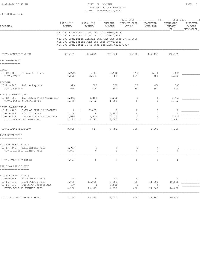10 -GENERAL FUND

#### 9-09-2020 12:47 PM PAGE: 2 PROPOSED BUDGET WORKSHEET AS OF: September 17,2020

| <b>REVENUES</b>                                                                   | 2017-2018<br>ACTUAL | 2018-2019<br>ACTUAL             | CURRENT<br><b>BUDGET</b>                                                                                                                                                                                                                                           | (-------------- 2019-2020 ----------------) (------- 2020-2021 --------)<br>YEAR-TO-DATE<br>ACTUAL | PROJECTED<br>YEAR END        | REQUESTED<br><b>BUDGET</b><br>DR | APPROVED<br><b>BUDGET</b><br>WORKSPACE |
|-----------------------------------------------------------------------------------|---------------------|---------------------------------|--------------------------------------------------------------------------------------------------------------------------------------------------------------------------------------------------------------------------------------------------------------------|----------------------------------------------------------------------------------------------------|------------------------------|----------------------------------|----------------------------------------|
|                                                                                   |                     |                                 | \$30,000 From Street Fund Due Date 10/05/2019<br>\$15,000 From Street Fund Due Date 06/20/2020<br>\$20,000 From Parks Capital Imp. Fund Due Date 07/18/2020<br>\$15,000 From Street Fund Due Date 08/01/2020<br>\$17,000 From Water/Sewer Fund Due Date 08/01/2020 |                                                                                                    |                              |                                  |                                        |
| TOTAL ADMINISTRATION                                                              | 851,139             | 826,875                         | 925,844                                                                                                                                                                                                                                                            | 38,112                                                                                             | 147,436                      | 960,725                          |                                        |
| LAW ENFORCMENT<br>--------------                                                  |                     |                                 |                                                                                                                                                                                                                                                                    |                                                                                                    |                              |                                  |                                        |
| TAXES                                                                             |                     |                                 |                                                                                                                                                                                                                                                                    |                                                                                                    |                              |                                  |                                        |
| $10 - 12 - 4105$<br>Cigarette Taxes<br>TOTAL TAXES                                | 4,272<br>4,272      | 3,606<br>3,606                  | 3,500<br>3,500                                                                                                                                                                                                                                                     | 299<br>299                                                                                         | 3,400<br>3,400               | 3,606<br>3,606                   |                                        |
| REVENUE                                                                           |                     |                                 |                                                                                                                                                                                                                                                                    |                                                                                                    |                              |                                  |                                        |
| $10 - 12 - 4400$<br>Police Reports<br>TOTAL REVENUE                               | 915<br>915          | 800<br>800                      | 500<br>500                                                                                                                                                                                                                                                         | 30<br>30                                                                                           | 600<br>600                   | 800<br>800                       |                                        |
| FINES & FORFEITURES                                                               |                     |                                 |                                                                                                                                                                                                                                                                    |                                                                                                    |                              |                                  |                                        |
| $10 - 12 - 4501$<br>Law Enforcement Train LET<br>TOTAL FINES & FORFEITURES        | 1,345<br>1,345      | 1,462<br>1,462                  | 1,250<br>1,250                                                                                                                                                                                                                                                     | 0<br>$\Omega$                                                                                      | 0<br>$\Omega$                | 1,462<br>1,462                   |                                        |
| OTHER GOVERNMENTAL                                                                |                     |                                 |                                                                                                                                                                                                                                                                    |                                                                                                    |                              |                                  |                                        |
| $10 - 12 - 4702$<br>SALE OF SURPLUS PROPERTY<br>$10 - 12 - 4707$<br>P/L DIVIDENDS | $\circ$<br>2,306    | 7,807)<br>$\sqrt{2}$<br>$\circ$ | $\mathbb O$<br>2,300                                                                                                                                                                                                                                               | $\circ$<br>$\mathbf 0$                                                                             | $\mathbf{0}$<br>$\mathbf{0}$ | 0<br>$\mathbf{0}$                |                                        |
| $10 - 12 - 4713$<br>Inmate Security Fund ISF                                      | 1,086               | 1,422                           | 1,200                                                                                                                                                                                                                                                              | $\circ$                                                                                            | $\circ$                      | 1,422                            |                                        |
| TOTAL OTHER GOVERNMENTAL                                                          | 3,392               | 6,385)<br>$\sqrt{2}$            | 3,500                                                                                                                                                                                                                                                              | $\circ$                                                                                            | $\circ$                      | 1,422                            |                                        |
| TOTAL LAW ENFORCMENT                                                              | 9,925               | 517)<br>$\sqrt{2}$              | 8,750                                                                                                                                                                                                                                                              | 329                                                                                                | 4,000                        | 7,290                            |                                        |
| PARK DEPARTMENT<br>---------------                                                |                     |                                 |                                                                                                                                                                                                                                                                    |                                                                                                    |                              |                                  |                                        |
| LICENSE PERMITS FEES                                                              |                     |                                 |                                                                                                                                                                                                                                                                    |                                                                                                    |                              |                                  |                                        |
| $10 - 13 - 4309$<br>PARK RENTAL FEES<br>TOTAL LICENSE PERMITS FEES                | 4,973<br>4,973      | $\circ$                         | 0<br>0<br>$\circ$                                                                                                                                                                                                                                                  | 0<br>$\Omega$                                                                                      | $\mathbf{0}$<br>$\circ$      | 0<br>$\mathbf 0$                 |                                        |
| TOTAL PARK DEPARTMENT                                                             | 4,973               | $\circ$                         | $\circ$                                                                                                                                                                                                                                                            | $\mathbb O$                                                                                        | $\circ$                      | $\circ$                          |                                        |
| BUILDING PERMIT FEES                                                              |                     |                                 |                                                                                                                                                                                                                                                                    |                                                                                                    |                              |                                  |                                        |
| ===================                                                               |                     |                                 |                                                                                                                                                                                                                                                                    |                                                                                                    |                              |                                  |                                        |
| LICENSE PERMITS FEES                                                              |                     |                                 |                                                                                                                                                                                                                                                                    |                                                                                                    |                              |                                  |                                        |
| $10 - 16 - 4308$<br>SIGN PERMIT FEES<br>$10 - 16 - 4310$<br>BLDG PERMIT FEES      | 75<br>7,935         | 0<br>15,975                     | 50<br>8,000                                                                                                                                                                                                                                                        | $\circ$<br>450                                                                                     | 0<br>11,800                  | 0<br>10,000                      |                                        |
| $10 - 16 - 4311$<br>Building Inspections                                          | 150                 |                                 | 1,000<br>0                                                                                                                                                                                                                                                         | $\circ$                                                                                            | 0                            | C                                |                                        |
| TOTAL LICENSE PERMITS FEES                                                        | 8,160               | 15,975                          | 9,050                                                                                                                                                                                                                                                              | 450                                                                                                | 11,800                       | 10,000                           |                                        |
| TOTAL BUILDING PERMIT FEES                                                        | 8,160               | 15,975                          | 9,050                                                                                                                                                                                                                                                              | 450                                                                                                | 11,800                       | 10,000                           |                                        |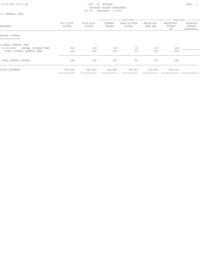#### 9-09-2020 12:47 PM **PAGE: 3** PROPOSED BUDGET WORKSHEET AS OF: September 17,2020

| -GENERAL FUND |  |
|---------------|--|
|---------------|--|

| REVENUES                                                                                      | 2017-2018<br>ACTUAL    | 2018-2019<br>ACTUAL | CURRENT<br>BUDGET | (-------------- 2019-2020 -----------------) (------- 2020-2021 --------)<br>YEAR-TO-DATE<br>ACTUAL | PROJECTED<br>YEAR END | REQUESTED<br>BUDGET<br>DR. | APPROVED<br>BUDGET<br>WORKSPACE |
|-----------------------------------------------------------------------------------------------|------------------------|---------------------|-------------------|-----------------------------------------------------------------------------------------------------|-----------------------|----------------------------|---------------------------------|
| ANIMAL CONTROL<br>==============                                                              |                        |                     |                   |                                                                                                     |                       |                            |                                 |
| LICENSE PERMITS FEES<br>$10 - 18 - 4300$<br>ANIMAL LICENSE FEES<br>TOTAL LICENSE PERMITS FEES | 460<br>460             | 490<br>490          | 200<br>200        | 50<br>50                                                                                            | 253<br>253            | 490<br>490                 |                                 |
| TOTAL ANIMAL CONTROL                                                                          | 460                    | 490                 | 200               | 50                                                                                                  | 253                   | 490                        |                                 |
| TOTAL REVENUES                                                                                | 874,656<br>=========== | 842,823             | 943,844           | 38,942                                                                                              | 163,489               | 978,505                    |                                 |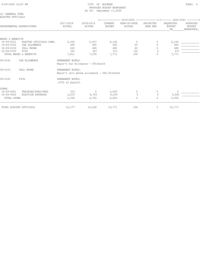| 9-09-2020 12:47 PM |  |
|--------------------|--|

#### CITY OF BUCKNER PAGE: 4 PROPOSED BUDGET WORKSHEET AS OF: September 17,2020

| 10 -GENERAL FUND<br>ELECTED OFFICIALS |                           |                                              |                     |                                 |                                                                          |                       |                                  |                                        |
|---------------------------------------|---------------------------|----------------------------------------------|---------------------|---------------------------------|--------------------------------------------------------------------------|-----------------------|----------------------------------|----------------------------------------|
|                                       |                           |                                              |                     |                                 | (-------------- 2019-2020 ----------------) (------- 2020-2021 --------) |                       |                                  |                                        |
|                                       | DEPARTMENTAL EXPENDITURES | 2017-2018<br>ACTUAL                          | 2018-2019<br>ACTUAL | <b>CURRENT</b><br><b>BUDGET</b> | YEAR-TO-DATE<br>ACTUAL                                                   | PROJECTED<br>YEAR END | REQUESTED<br><b>BUDGET</b><br>DR | APPROVED<br><b>BUDGET</b><br>WORKSPACE |
|                                       |                           |                                              |                     |                                 |                                                                          |                       |                                  |                                        |
| WAGES & BENEFITS                      |                           |                                              |                     |                                 |                                                                          |                       |                                  |                                        |
| $10 - 09 - 5101$                      | ELECTED OFFICIALS COMP.   | 6,325                                        | 5,937               | 6,160                           | $\circ$                                                                  | 0                     | 6,160                            |                                        |
| 10-09-5102                            | CAR ALLOWANCE             | 495                                          | 495                 | 660                             | 55                                                                       | $\Omega$              | 660                              |                                        |
| 10-09-5103                            | CELL PHONE                | 600                                          | 480                 | 480                             | 40                                                                       | $\mathbf{0}$          | 480                              |                                        |
| $10 - 09 - 5120$                      | FICA                      | 391                                          | 567                 | 471                             | 101                                                                      | $\Omega$              | 471                              |                                        |
|                                       | TOTAL WAGES & BENEFITS    | 7,811                                        | 7,478               | 7,771                           | 196                                                                      | $\Omega$              | 7,771                            |                                        |
| 09-5102                               | CAR ALLOWANCE             | PERMANENT NOTES:                             |                     |                                 |                                                                          |                       |                                  |                                        |
|                                       |                           | Mayor's Car Allowance - \$55/month           |                     |                                 |                                                                          |                       |                                  |                                        |
| 09-5103                               | CELL PHONE                | PERMANENT NOTES:                             |                     |                                 |                                                                          |                       |                                  |                                        |
|                                       |                           | Mayor's cell phone allowance - \$40.00/month |                     |                                 |                                                                          |                       |                                  |                                        |
| $09 - 5120$                           | FICA                      | PERMANENT NOTES:<br>.0765 of payroll         |                     |                                 |                                                                          |                       |                                  |                                        |
| OTHER                                 |                           |                                              |                     |                                 |                                                                          |                       |                                  |                                        |
| $10 - 09 - 5601$                      | TRAINING/DUES/FEES        | 333                                          | 0                   | 1,000                           | 0                                                                        | 0                     | 0                                |                                        |
| $10 - 09 - 5602$                      | ELECTION EXPENSES         | 2,033                                        | 6,750               | 4,000                           | $\circ$                                                                  | $\mathbf{0}$          | 5,000                            |                                        |
| TOTAL OTHER                           |                           | 2,366                                        | 6,750               | 5,000                           | $\Omega$                                                                 | $\Omega$              | 5,000                            |                                        |
|                                       | TOTAL ELECTED OFFICIALS   | 10,177                                       | 14,228              | 12,771                          | 196                                                                      | 0                     | 12,771                           |                                        |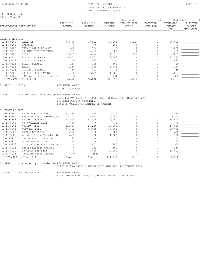10 -GENERAL FUND ADMINISTRATION

|                  |                                            |                                      |                                                              |                          | (-------------- 2019-2020 -----------------) (------- 2020-2021 --------) |                       |                                  |                                        |
|------------------|--------------------------------------------|--------------------------------------|--------------------------------------------------------------|--------------------------|---------------------------------------------------------------------------|-----------------------|----------------------------------|----------------------------------------|
|                  | DEPARTMENTAL EXPENDITURES                  | 2017-2018<br>ACTUAL                  | 2018-2019<br>ACTUAL                                          | CURRENT<br><b>BUDGET</b> | YEAR-TO-DATE<br>ACTUAL                                                    | PROJECTED<br>YEAR END | REQUESTED<br><b>BUDGET</b><br>DR | APPROVED<br><b>BUDGET</b><br>WORKSPACE |
|                  |                                            |                                      |                                                              |                          |                                                                           |                       |                                  |                                        |
| WAGES & BENEFITS |                                            |                                      |                                                              |                          |                                                                           |                       |                                  |                                        |
| $10 - 11 - 5101$ | SALARIES                                   | 44,436                               | 79,922                                                       | 57,202                   | 5,234                                                                     | $\circ$               | 60,000                           |                                        |
| $10 - 11 - 5102$ | Overtime                                   | $\mathbf{0}$                         | $\circ$                                                      | 100                      | $\circ$                                                                   | $\circ$               | $\mathbf 0$                      |                                        |
| $10 - 11 - 5103$ | CELL PHONE ALLOWANCE                       | 630                                  | 726                                                          | $\circ$                  | $\mathbf{0}$                                                              | $\mathbf 0$           | 1,008                            |                                        |
| $10 - 11 - 5110$ | BONDING-CITY OFFICERS                      | 721                                  | 1,639                                                        | 800                      | $\circ$                                                                   | $\Omega$              | 418                              |                                        |
| $10 - 11 - 5120$ | FICA                                       | 2,587                                | 5,474                                                        | 4,376                    | 291                                                                       | $\circ$               | 4,821                            |                                        |
| $10 - 11 - 5121$ | HEALTH INSURANCE                           | 6,041                                | 46,803                                                       | 13,609                   | $\mathbf{0}$                                                              | $\Omega$              | 11,740                           |                                        |
| $10 - 11 - 5122$ | DENTAL INSURANCE                           | 248                                  | 847                                                          | 491                      | $\Omega$                                                                  | $\Omega$              | 497                              |                                        |
| $10 - 11 - 5123$ | LIFE INSURANCE                             | 267                                  | 195                                                          | 360                      | $\Omega$                                                                  | $\mathbf 0$           | 428                              |                                        |
| $10 - 11 - 5124$ | LAGERS                                     | 3,257                                | 1,500                                                        | 6,708                    | $\Omega$                                                                  | $\Omega$              | 7,247                            |                                        |
| $10 - 11 - 5125$ | VISION INSURANCE                           | 36                                   | 601                                                          | 48                       | $\Omega$                                                                  | $\Omega$              | 55                               |                                        |
| $10 - 11 - 5126$ | WORKERS COMPENSATION                       | 358                                  | 7,589                                                        | 1,306                    | $\Omega$                                                                  | $\Omega$              | 1,863                            |                                        |
| $10 - 11 - 5127$ | HSA Employer Contribution                  | 35                                   | 546                                                          | 690                      | $\Omega$                                                                  | $\Omega$              | 690                              |                                        |
|                  | TOTAL WAGES & BENEFITS                     | 58,616                               | 145,842                                                      | 85,690                   | 5,525                                                                     | $\circ$               | 88,767                           |                                        |
|                  |                                            |                                      |                                                              |                          |                                                                           |                       |                                  |                                        |
|                  |                                            |                                      |                                                              |                          |                                                                           |                       |                                  |                                        |
| $11 - 5120$      | FICA                                       | PERMANENT NOTES:<br>.0765 x salaries |                                                              |                          |                                                                           |                       |                                  |                                        |
|                  |                                            |                                      |                                                              |                          |                                                                           |                       |                                  |                                        |
| 11-5127          | HSA Employer Contribution PERMANENT NOTES: |                                      |                                                              |                          |                                                                           |                       |                                  |                                        |
|                  |                                            |                                      | INCLUDES PAYMENTS IN LIEU OF HSA FOR QUALIFIED EMPLOYEES NOT |                          |                                                                           |                       |                                  |                                        |
|                  |                                            | ELIGIBLE FOR HSA ACCOUNTS.           |                                                              |                          |                                                                           |                       |                                  |                                        |
|                  |                                            |                                      | BENEFIT ACCRUES TO PRIMARY DEPARTMENT                        |                          |                                                                           |                       |                                  |                                        |
| CONTRACTUAL SVCS |                                            |                                      |                                                              |                          |                                                                           |                       |                                  |                                        |
| $10 - 11 - 5200$ | PROP/LIABILITY INS                         | 63,530                               | 54,744                                                       | 7,674                    | 6,307                                                                     | 0                     | 8,590                            |                                        |
| $10 - 11 - 5201$ | Software Support-Tyler/In                  | 25,105                               | 9,665                                                        | 10,000                   | $\circ$                                                                   | $\mathbf 0$           | 9,700                            |                                        |
| $10 - 11 - 5202$ | PROSECUTOR FEES                            | 14,450                               | 14,400                                                       | 16,400                   | 1,200                                                                     | $\mathbf 0$           | 14,400                           |                                        |
| $10 - 11 - 5203$ | MO UNCLAIMED CASH                          | 636                                  | $\Omega$                                                     | $\Omega$                 | $\Omega$                                                                  | $\Omega$              | $\Omega$                         |                                        |
| $10 - 11 - 5204$ | <b>AUDITOR FEES</b>                        | 12,000                               | 14,240                                                       | 14,000                   | $\Omega$                                                                  | $\Omega$              | 14,000                           |                                        |
| $10 - 11 - 5205$ | <b>ATTORNEY FEES</b>                       | 47,642                               | 45,835                                                       | 50,000                   | $\Omega$                                                                  | $\Omega$              | 20,000                           |                                        |
| $10 - 11 - 5208$ | CODE PUBLISHING                            | 1,530                                | $\Omega$                                                     | 600                      | $\Omega$                                                                  | $\Omega$              | 600                              |                                        |
| $10 - 11 - 5209$ | Website Design/Develop (Z                  | 1,605                                | 900                                                          | 1,200                    | $\Omega$                                                                  | $\Omega$              | 900                              |                                        |
| $10 - 11 - 5210$ | Collectors Commission                      | 81                                   | $\circ$                                                      | $\Omega$                 | $\Omega$                                                                  | $\Omega$              | 100                              |                                        |
| $10 - 11 - 5211$ | JC Assessment Fund                         | 48                                   | $\mathbf{0}$                                                 | $\circ$                  | 0                                                                         | $\Omega$              | 60                               |                                        |
| $10 - 11 - 5213$ | City Hall Repairs & Maint                  | $\mathbf{0}$                         | 661                                                          | 800                      | $\Omega$                                                                  | $\Omega$              | 900                              |                                        |
| $10 - 11 - 5214$ | Public Hearing Notices                     | $\mathbf{0}$                         | 141                                                          | 500                      | $\mathbf{0}$                                                              | $\circ$               | 250                              |                                        |
| $10 - 11 - 5221$ | Contract Services                          | $\Omega$                             | 6,806                                                        | 10,000                   | $\Omega$                                                                  | $\Omega$              | 11,000                           |                                        |
| $10 - 11 - 5226$ | BankCard Fraud Charges                     | $\Omega$                             | 258)                                                         | $\Omega$                 | $\Omega$                                                                  | $\Omega$              | ∩                                |                                        |

11-5201 Software Support-Tyler/IncPERMANENT NOTES:

TYLER TECHNOLOGIES - INCODE LICENSING AND MAINTENANCE FEES

11-5202 PROSECUTOR FEES PERMANENT NOTES:

\$1200 MONTHLY FEE - NOT TO BE PAID BY MUNICIPAL COURT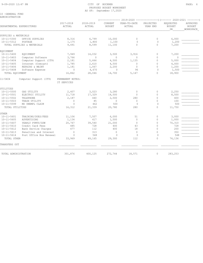#### 9-09-2020 12:47 PM CITY OF BUCKNER PAGE: 6 PROPOSED BUDGET WORKSHEET AS OF: September 17,2020

|  | 10 -GENERAL FUND |  |
|--|------------------|--|
|  | ADMINISTRATION   |  |

|                      |                            |                                 |                     |                          | (-------------- 2019-2020 ----------------) (------- 2020-2021 --------) |                       |                                  |                                        |
|----------------------|----------------------------|---------------------------------|---------------------|--------------------------|--------------------------------------------------------------------------|-----------------------|----------------------------------|----------------------------------------|
|                      | DEPARTMENTAL EXPENDITURES  | 2017-2018<br>ACTUAL             | 2018-2019<br>ACTUAL | CURRENT<br><b>BUDGET</b> | YEAR-TO-DATE<br>ACTUAL                                                   | PROJECTED<br>YEAR END | REQUESTED<br><b>BUDGET</b><br>DR | APPROVED<br><b>BUDGET</b><br>WORKSPACE |
| SUPPLIES & MATERIALS |                            |                                 |                     |                          |                                                                          |                       |                                  |                                        |
| $10 - 11 - 5300$     | OFFICE SUPPLIES            | 8,316                           | 6,799               | 10,000                   | $\Omega$                                                                 | $\circ$               | 6,000                            |                                        |
| $10 - 11 - 5312$     | POSTAGE                    | 1,175                           | 1,800               | 1,100                    | $\Omega$                                                                 | $\Omega$              | 1,200                            |                                        |
|                      | TOTAL SUPPLIES & MATERIALS | 9,491                           | 8,599               | 11,100                   | $\Omega$                                                                 | $\Omega$              | 7,200                            |                                        |
| <b>EQUIPMENT</b>     |                            |                                 |                     |                          |                                                                          |                       |                                  |                                        |
| $10 - 11 - 5400$     | <b>EQUIPMENT</b>           | 7,949                           | 14,032              | 3,500                    | 3,916                                                                    | $\circ$               | 7,200                            |                                        |
| $10 - 11 - 5403$     | Computer Software          | 3,766                           | $\circ$             | $\Omega$                 | $\circ$                                                                  | $\circ$               | $\mathbf{0}$                     |                                        |
| $10 - 11 - 5404$     | Computer Support (IT9)     | 2,181                           | 5,666               | 4,500                    | 1,135                                                                    | $\mathbf{0}$          | 5,000                            |                                        |
| $10 - 11 - 5405$     | Internet (Comcast)         | 1,785                           | 2,610               | 4,500                    | $\Omega$                                                                 | $\Omega$              | 4,000                            |                                        |
| $10 - 11 - 5406$     | REPAIRS & MAINT            | 1,181                           | 1,067               | 2,200                    | $\circ$                                                                  | $\circ$               | 1,200                            |                                        |
| $10 - 11 - 5408$     | Software Expense           | $\mathbf{0}$                    | 4,670               | $\mathbf{0}$             | 96                                                                       | $\Omega$              | 1,500                            |                                        |
| TOTAL EQUIPMENT      |                            | 16,862                          | 28,046              | 14,700                   | 5,147                                                                    | $\bigcap$             | 18,900                           |                                        |
| 11-5404              | Computer Support (IT9)     | PERMANENT NOTES:<br>IT SERVICES |                     |                          |                                                                          |                       |                                  |                                        |
| UTILITIES            |                            |                                 |                     |                          |                                                                          |                       |                                  |                                        |
| $10 - 11 - 5500$     | GAS UTILITY                | 2,407                           | 3,023               | 3,280                    | $\circ$                                                                  | $\circ$               | 2,250                            |                                        |
| $10 - 11 - 5501$     | ELECTRIC UTILITY           | 11,718                          | 17,329              | 14,500                   | $\circ$                                                                  | $\circ$               | 8,500                            |                                        |
| $10 - 11 - 5502$     | TELEPHONE                  | 2,187                           | 440                 | 2,500                    | 280                                                                      | $\circ$               | 400                              |                                        |
| $10 - 11 - 5503$     | TRASH UTILITY              | $\Omega$                        | 85                  | $\Omega$                 | $\Omega$                                                                 | $\Omega$              | 100                              |                                        |
| $10 - 11 - 5599$     | MO UNEMPL CLAIM            | $\Omega$                        | 462                 | 500                      | $\Omega$                                                                 | $\Omega$              | 500                              |                                        |
| TOTAL UTILITIES      |                            | 16,312                          | 21,339              | 20,780                   | 280                                                                      | $\Omega$              | 11,750                           |                                        |
| OTHER                |                            |                                 |                     |                          |                                                                          |                       |                                  |                                        |
| $10 - 11 - 5601$     | TRAINING/DUES/FEES         | 11,106                          | 7,507               | 6,000                    | 51                                                                       | 0                     | 3,000                            |                                        |
| $10 - 11 - 5605$     | ADVERTISING                | 1,134                           | 417                 | 1,500                    | $\circ$                                                                  | $\Omega$              | 1,000                            |                                        |
| $10 - 11 - 5607$     | YEARLY PYMTS/GSW           | 20,767                          | 39,540              | 21,000                   | $\mathbf{0}$                                                             | $\Omega$              | 70,310                           |                                        |
| $10 - 11 - 5610$     | Credit Card Fees           | 485                             | 728                 | 400                      | 43                                                                       | $\Omega$              | 728                              |                                        |
| $10 - 11 - 5612$     | Bank Service Charges       | 477                             | 112                 | 400                      | 18                                                                       | $\mathbf{0}$          | 200                              |                                        |
| $10 - 11 - 5613$     | Penalties and Interest     | $\bigcirc$                      | 313                 | $\Omega$                 | $\Omega$                                                                 | $\Omega$              | 350                              |                                        |
| $10 - 11 - 5614$     | Post Office Box Renewal    | $\Omega$                        | 548                 | $\Omega$                 | $\Omega$                                                                 | $\Omega$              | 548                              |                                        |
| TOTAL OTHER          |                            | 33,969                          | 49,165              | 29,300                   | 112                                                                      | $\circ$               | 76,136                           |                                        |
| TRANSFERS OUT        |                            |                                 |                     |                          |                                                                          |                       |                                  |                                        |
| TOTAL ADMINISTRATION |                            | 301,876                         | 400,125             | 272,744                  | 18,571                                                                   | $\circ$               | 283,253                          |                                        |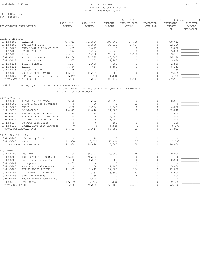#### 9-09-2020 12:47 PM PAGE: 7 PROPOSED BUDGET WORKSHEET AS OF: September 17,2020

10 -GENERAL FUND LAW ENFORCMENT

|                           |                                            |                          |                                                             |                          | 2019-2020              |                       | ----------------) (------- 2020-2021 |                                        |
|---------------------------|--------------------------------------------|--------------------------|-------------------------------------------------------------|--------------------------|------------------------|-----------------------|--------------------------------------|----------------------------------------|
| DEPARTMENTAL EXPENDITURES |                                            | 2017-2018<br>ACTUAL      | 2018-2019<br>ACTUAL                                         | CURRENT<br><b>BUDGET</b> | YEAR-TO-DATE<br>ACTUAL | PROJECTED<br>YEAR END | REQUESTED<br><b>BUDGET</b><br>DR     | APPROVED<br><b>BUDGET</b><br>WORKSPACE |
|                           |                                            |                          |                                                             |                          |                        |                       |                                      |                                        |
|                           |                                            |                          |                                                             |                          |                        |                       |                                      |                                        |
| WAGES & BENEFITS          |                                            |                          |                                                             |                          |                        |                       |                                      |                                        |
| $10 - 12 - 5101$          | SALARIES                                   | 307,911                  | 365,986                                                     | 390,369                  | 27,526                 | 0<br>$\mathbf{0}$     | 388,643                              |                                        |
| $10 - 12 - 5102$          | POLICE OVERTIME                            | 26,577                   | 33,998                                                      | 37,019                   | 2,967                  |                       | 22,326                               |                                        |
| $10 - 12 - 5103$          | CELL PHONE ALLOWANCE-POLI                  | 495                      | 2,073                                                       | $\circ$                  | $\Omega$               | $\mathbf{0}$          | 2,000                                |                                        |
| $10 - 12 - 5108$          | EVENT OVERTIME                             | 744                      | 1,714                                                       | 2,945                    | 0                      | $\circ$               | 5,000                                |                                        |
| $10 - 12 - 5120$          | FICA                                       | 21,193                   | 32,390                                                      | 29,863                   | 2,250                  | $\mathbf{0}$          | 29,731                               |                                        |
| $10 - 12 - 5121$          | HEALTH INSURANCE                           | 19,304                   | 34,765                                                      | 40,095                   | 0                      | $\mathbf{0}$          | 66,148                               |                                        |
| $10 - 12 - 5122$          | DENTAL INSURANCE                           | 1,507                    | 1,539                                                       | 1,708                    | $\Omega$               | $\Omega$              | 3,024                                |                                        |
| $10 - 12 - 5123$          | LIFE INSURANCE                             | 1,207                    | 2,018                                                       | 900                      | $\Omega$               | $\mathbf{0}$          | 2,520                                |                                        |
| $10 - 12 - 5124$          | LAGERS                                     | 3,484                    | 624                                                         | 3,500                    | 0                      | $\circ$               | 8,351                                |                                        |
| $10 - 12 - 5125$          | VISION INSURANCE                           | 115                      | 404                                                         | 210                      | 0                      | $\circ$               | 336                                  |                                        |
| $10 - 12 - 5126$          | WORKERS COMPENSATION                       | 18,183                   | 11,737                                                      | 500                      | $\Omega$               | $\circ$               | 9,315                                |                                        |
| $10 - 12 - 5127$          | HSA Employer Contribution                  | 4,047                    | 1,788                                                       | 2,040                    | $\Omega$               | $\Omega$              | 2,520                                |                                        |
|                           | TOTAL WAGES & BENEFITS                     | 404,766                  | 489,036                                                     | 509,149                  | 32,743                 | $\Omega$              | 539,914                              |                                        |
| 12-5127                   | HSA Employer Contribution PERMANENT NOTES: |                          |                                                             |                          |                        |                       |                                      |                                        |
|                           |                                            |                          | INCLUDES PAYMENT IN LIEU OF HSA FOR QUALIFIED EMPLOYEES NOT |                          |                        |                       |                                      |                                        |
|                           |                                            | ELIGIBLE FOR HSA ACCOUNT |                                                             |                          |                        |                       |                                      |                                        |
|                           |                                            |                          |                                                             |                          |                        |                       |                                      |                                        |
| CONTRACTUAL SVCS          |                                            |                          |                                                             |                          |                        |                       |                                      |                                        |
| $10 - 12 - 5200$          | Liability Insurance                        | 30,878                   | 57,692                                                      | 20,995                   | 0                      | $\mathbf{0}$          | 8,561                                |                                        |
| $10 - 12 - 5201$          | Court Bond Due to Others                   | $\Omega$                 | 400                                                         | $\Omega$                 | 400                    | $\circ$               | $\Omega$                             |                                        |
| $10 - 12 - 5209$          | REJIS                                      | 1,108                    | 3,764                                                       | 2,568                    | $\Omega$               | $\mathbf{0}$          | 4,850                                |                                        |
| $10 - 12 - 5218$          | JC DISPATCH                                | 13,571                   | 22,840                                                      | 21,000                   | 0                      | $\circ$               | 22,842                               |                                        |
| $10 - 12 - 5224$          | PHYSICALS/PSYCH EXAMS                      | 80                       | 349                                                         | 500                      | $\Omega$               | $\mathbf{0}$          | 600                                  |                                        |
| $10 - 12 - 5225$          | LAB FEES - Empl Drug Test                  | 465                      | $\mathbf{0}$                                                | 2,500                    | $\Omega$               | $\Omega$              | 500                                  |                                        |
| $10 - 12 - 5226$          | JACKSON COUNTY YOUTH COUR                  | 1,500                    | $\mathbf{0}$                                                | 1,500                    | $\mathbf 0$            | $\circ$               | 1,500                                |                                        |
| $10 - 12 - 5227$          | JC Drug Task Force                         | $\mathbf 0$              | $\mathbf 0$                                                 | 100                      | $\Omega$               | $\Omega$              | 100                                  |                                        |
| $10 - 12 - 5228$          | IDEMIA Live Scan Fingerpr                  | $\mathbf{0}$             | $\bigcap$                                                   | 5,928                    | $\mathbf 0$            | $\Omega$              | 6,000                                |                                        |
|                           | TOTAL CONTRACTUAL SVCS                     | 47,601                   | 85,044                                                      | 55,091                   | 400                    | $\Omega$              | 44,953                               |                                        |
|                           |                                            |                          |                                                             |                          |                        |                       |                                      |                                        |
| SUPPLIES & MATERIALS      |                                            |                          |                                                             |                          |                        |                       |                                      |                                        |
| $10 - 12 - 5300$          | Office Supplies                            | $\mathbf{0}$             | 229                                                         | $\mathbf{0}$             | $\circ$                | $\circ$               | $\mathbb O$                          |                                        |
| $10 - 12 - 5308$          | FUEL                                       | 11,900                   | 16,219                                                      | 15,000                   | 58                     | $\Omega$              | 10,000                               |                                        |
|                           | TOTAL SUPPLIES & MATERIALS                 | 11,900                   | 16,448                                                      | 15,000                   | 58                     | $\circ$               | 10,000                               |                                        |
| EQUIPMENT                 |                                            |                          |                                                             |                          |                        |                       |                                      |                                        |
| $10 - 12 - 5400$          | <b>EOUIPMENT</b>                           | 25,200                   | 30,101                                                      | 20,000                   | 1,278                  | $\circ$               | 20,000                               |                                        |
| $10 - 12 - 5402$          | POLICE VEHICLE PURCHASES                   | 42,313                   | 42,313                                                      | $\Omega$                 | 0                      | $\circ$               | $\Omega$                             |                                        |
| $10 - 12 - 5403$          | Radio Maintenance Fee                      | $\mathbf{0}$             | 2,057                                                       | 2,500                    | 0                      | $\mathbf 0$           | 2,500                                |                                        |
| $10 - 12 - 5404$          | IT Support                                 | 3,832                    | $\mathbf{0}$                                                | $\mathbf{0}$             | 0                      | $\mathbf{0}$          | $\mathbf{0}$                         |                                        |
| $10 - 12 - 5405$          | Watchquard Maintenance                     | $\circ$                  | 1,300                                                       | 1,100                    | 0                      | $\mathbf{0}$          | 5,000                                |                                        |
| $10 - 12 - 5406$          | REPAIR/MAINT POLICE                        | 12,551                   | 1,045                                                       | 12,000                   | 164                    | $\circ$               | 12,000                               |                                        |
| $10 - 12 - 5407$          | REPAIR/MAINT (VEHICLE)                     | $\mathbf{0}$             | 2,763                                                       | 5,500                    | 1,743                  | $\mathbf{0}$          | 5,500                                |                                        |
| $10 - 12 - 5408$          | Software Expense                           | $\Omega$                 | 360                                                         | $\Omega$                 | 198                    | $\circ$               | 2,400                                |                                        |
| $10 - 12 - 5409$          | Body Cam Data Storage Fee                  | 0                        | 49,619)                                                     | $\circ$                  | 0                      | $\mathbf{0}$          | $\circ$                              |                                        |
| $10 - 12 - 5410$          | ITI SOFTWARE                               | 17,129                   | 9,705                                                       | 21,000                   | $\mathbf{0}$           | $\Omega$              | 25,000                               |                                        |
| TOTAL EQUIPMENT           |                                            | 101,026                  | 40,026                                                      | 62,100                   | 3,383                  | $\circ$               | 72,400                               |                                        |
|                           |                                            |                          |                                                             |                          |                        |                       |                                      |                                        |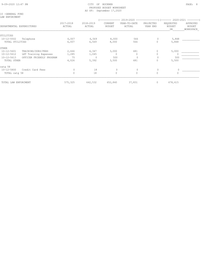#### 10 -GENERAL FUND LAW ENFORCMENT

|                      |                           |                     |                     |                          |                        | $2019 - 2020$ ----------------)(------- |                                  | $2020 - 2021$ --------          |
|----------------------|---------------------------|---------------------|---------------------|--------------------------|------------------------|-----------------------------------------|----------------------------------|---------------------------------|
|                      | DEPARTMENTAL EXPENDITURES | 2017-2018<br>ACTUAL | 2018-2019<br>ACTUAL | CURRENT<br><b>BUDGET</b> | YEAR-TO-DATE<br>ACTUAL | PROJECTED<br>YEAR END                   | REQUESTED<br><b>BUDGET</b><br>DR | APPROVED<br>BUDGET<br>WORKSPACE |
| UTILITIES            |                           |                     |                     |                          |                        |                                         |                                  |                                 |
| $10 - 12 - 5502$     | Telephone                 | 6,007               | 6,569               | 8,000                    | 566                    |                                         | 5,848                            |                                 |
| TOTAL UTILITIES      |                           | 6,007               | 6,569               | 8,000                    | 566                    | $\Omega$                                | 5,848                            |                                 |
| OTHER                |                           |                     |                     |                          |                        |                                         |                                  |                                 |
| $10 - 12 - 5601$     | TRAINING/DUES/FEES        | 2,666               | 4,347               | 3,000                    | 681                    |                                         | 5,000                            |                                 |
| $10 - 12 - 5612$     | LET Training Expenses     | 1,285               | 1,045               | $\Omega$                 |                        |                                         |                                  |                                 |
| $10 - 12 - 5613$     | OFFICER FRIENDLY PROGRAM  | 75                  | $\Omega$            | 500                      | $\Omega$               |                                         | 500                              |                                 |
| TOTAL OTHER          |                           | 4,026               | 5,392               | 3,500                    | 681                    | $\circ$                                 | 5,500                            |                                 |
| catq 58              |                           |                     |                     |                          |                        |                                         |                                  |                                 |
| $10 - 12 - 5800$     | Credit Card Fees          | $\Omega$            | 18                  | $\circ$                  | $\circ$                | $\circ$                                 | $\bigcap$                        |                                 |
| TOTAL catq 58        |                           | $\Omega$            | 18                  | $\Omega$                 | 0                      | $\Omega$                                | $\circ$                          |                                 |
| TOTAL LAW ENFORCMENT |                           | 575,325             | 642,532             | 652,840                  | 37,831                 | $\mathbf{0}$                            | 678,615                          |                                 |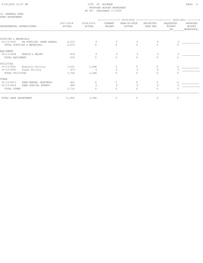#### 9-09-2020 12:47 PM CITY OF BUCKNER PAGE: 9 PROPOSED BUDGET WORKSHEET AS OF: September 17,2020

10 -GENERAL FUND PARK DEPARTMENT

| YEAR-TO-DATE<br>ACTUAL<br>0 | PROJECTED<br>YEAR END<br>$\Omega$ | REQUESTED<br><b>BUDGET</b><br>DR<br>0 | APPROVED<br>BUDGET<br>WORKSPACE |
|-----------------------------|-----------------------------------|---------------------------------------|---------------------------------|
|                             |                                   |                                       |                                 |
|                             |                                   |                                       |                                 |
|                             |                                   |                                       |                                 |
|                             |                                   |                                       |                                 |
|                             |                                   | $\Omega$                              |                                 |
|                             |                                   |                                       |                                 |
| $\circ$                     | $\Omega$                          | $\Omega$                              |                                 |
|                             | $\Omega$                          | $\Omega$                              |                                 |
|                             |                                   |                                       |                                 |
| 0                           | 0                                 | 0                                     |                                 |
| $\Omega$                    |                                   |                                       |                                 |
| $\cap$                      | $\Omega$                          | $\Omega$                              |                                 |
|                             |                                   |                                       |                                 |
| $\Omega$                    | $\circ$                           | $\circ$                               |                                 |
| $\Omega$                    |                                   |                                       |                                 |
| Λ                           | $\Omega$                          | $\Omega$                              |                                 |
|                             |                                   |                                       |                                 |
|                             | 0                                 | $\Omega$<br>$\circ$                   | $\mathbb O$                     |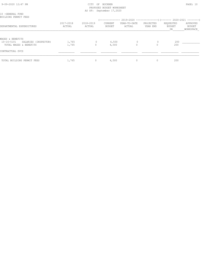| 9-09-2020 12:47 PM |  |  |
|--------------------|--|--|

#### CITY OF BUCKNER PAGE: 10 PROPOSED BUDGET WORKSHEET AS OF: September 17,2020

| 10 -GENERAL FUND<br>BUILDING PERMIT FEES                           |                     |                     |                   |                        |                       |                           |                                 |
|--------------------------------------------------------------------|---------------------|---------------------|-------------------|------------------------|-----------------------|---------------------------|---------------------------------|
| DEPARTMENTAL EXPENDITURES                                          | 2017-2018<br>ACTUAL | 2018-2019<br>ACTUAL | CURRENT<br>BUDGET | YEAR-TO-DATE<br>ACTUAL | PROJECTED<br>YEAR END | REQUESTED<br>BUDGET<br>DR | APPROVED<br>BUDGET<br>WORKSPACE |
| WAGES & BENEFITS                                                   |                     |                     |                   |                        |                       |                           |                                 |
| $10 - 16 - 5101$<br>SALARIES (INSPECTOR)<br>TOTAL WAGES & BENEFITS | 1,765<br>1,765      |                     | 4,500<br>4,500    | $\circ$                |                       | 200<br>200                |                                 |
| CONTRACTUAL SVCS                                                   |                     |                     |                   |                        |                       |                           |                                 |
| TOTAL BUILDING PERMIT FEES                                         | 1,765               | $\circ$             | 4,500             |                        | 0                     | 200                       |                                 |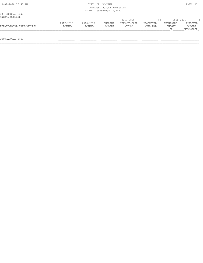| 9-09-2020 12:47 PM                 |                     | <b>CTTY</b><br>OF   | BUCKNER<br>PROPOSED BUDGET WORKSHEET<br>AS OF: September 17,2020 |                                                                          |                       |                           | PAGE: 11                        |
|------------------------------------|---------------------|---------------------|------------------------------------------------------------------|--------------------------------------------------------------------------|-----------------------|---------------------------|---------------------------------|
| 10 -GENERAL FUND<br>ANIMAL CONTROL |                     |                     |                                                                  | (-------------- 2019-2020 ----------------) (------- 2020-2021 --------) |                       |                           |                                 |
| DEPARTMENTAL EXPENDITURES          | 2017-2018<br>ACTUAL | 2018-2019<br>ACTUAL | CURRENT<br>BUDGET                                                | YEAR-TO-DATE<br>ACTUAL                                                   | PROJECTED<br>YEAR END | REOUESTED<br>BUDGET<br>DR | APPROVED<br>BUDGET<br>WORKSPACE |
| CONTRACTUAL SVCS                   |                     |                     |                                                                  |                                                                          |                       |                           |                                 |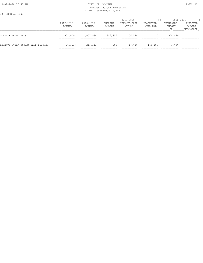#### 9-09-2020 12:47 PM CITY OF BUCKNER PAGE: 12 PROPOSED BUDGET WORKSHEET AS OF: September 17,2020

10 -GENERAL FUND

|                                   | 2017-2018<br>ACTUAL                   | $2018 - 2019$<br>ACTUAL | --------------<br>CURRENT<br>BUDGET | YEAR-TO-DATE<br>ACTUAL | PROJECTED<br>YEAR END | $2019-2020$ ----------------) (------- 2020-2021 --------)<br>REQUESTED<br>BUDGET<br>DR | APPROVED<br>BUDGET<br>WORKSPACE |
|-----------------------------------|---------------------------------------|-------------------------|-------------------------------------|------------------------|-----------------------|-----------------------------------------------------------------------------------------|---------------------------------|
| TOTAL EXPENDITURES                | 901,049<br>-----------<br>___________ | 1,057,934               | 942,855                             | 56,598                 |                       | 974,839                                                                                 |                                 |
| REVENUE OVER/(UNDER) EXPENDITURES | 26, 393<br>_________                  | 215, 111)               | 989                                 | 17,656)                | 163,489               | 3,666                                                                                   |                                 |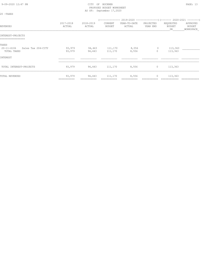20 -TAXES

## (-------------- 2019-2020 ---------------)(------- 2020-2021 --------) 2017-2018 2018-2019 CURRENT YEAR-TO-DATE PROJECTED REQUESTED APPROVED REVENUES ACTUAL ACTUAL BUDGET ACTUAL YEAR END BUDGET BUDGET \_\_\_\_\_\_\_\_\_\_\_\_\_\_\_\_\_\_\_\_\_\_\_\_\_\_\_\_\_\_\_\_\_\_\_\_\_\_\_\_\_\_\_\_\_\_\_\_\_\_\_\_\_\_\_\_\_\_\_\_\_\_\_\_\_\_\_\_\_\_\_\_\_\_\_\_\_\_\_\_\_\_\_\_\_\_\_\_\_\_\_\_\_\_\_\_\_\_\_\_\_\_\_\_\_\_\_\_\_\_\_\_\_\_\_\_DR\_\_\_\_\_\_\_\_WORKSPACE\_ INTEREST-PROJECTS =============== TAXES 20-11-4106 Sales Tax 204-CITY 93,979 94,443 111,170 8,556 0 113,363 \_\_\_\_\_\_\_\_\_\_\_\_ TOTAL TAXES 93,979 94,443 111,170 8,556 0 113,363  $\texttt{INTEREST}$  $\mathcal{L}_\mathcal{L} = \mathcal{L}_\mathcal{L} = \mathcal{L}_\mathcal{L} = \mathcal{L}_\mathcal{L} = \mathcal{L}_\mathcal{L} = \mathcal{L}_\mathcal{L} = \mathcal{L}_\mathcal{L} = \mathcal{L}_\mathcal{L} = \mathcal{L}_\mathcal{L} = \mathcal{L}_\mathcal{L} = \mathcal{L}_\mathcal{L} = \mathcal{L}_\mathcal{L} = \mathcal{L}_\mathcal{L} = \mathcal{L}_\mathcal{L} = \mathcal{L}_\mathcal{L} = \mathcal{L}_\mathcal{L} = \mathcal{L}_\mathcal{L}$ TOTAL INTEREST-PROJECTS 6 93,979 94,443 111,170 8,556 0 113,363 TOTAL REVENUES 93,979 94,443 111,170 8,556 0 113,363

=========== =========== =========== =========== =========== ============ ============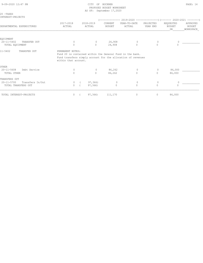| 9-09-2020 12:47 PM |  |
|--------------------|--|
|                    |  |

#### CITY OF BUCKNER PAGE: 14 PROPOSED BUDGET WORKSHEET AS OF: September 17,2020

| INTEREST-PROJECTS                                           |                                          |                      |                                 | ------------- 2019-2020 --------------------- (------- 2020-2021 ---------)                                               |                       |                                  |                                 |
|-------------------------------------------------------------|------------------------------------------|----------------------|---------------------------------|---------------------------------------------------------------------------------------------------------------------------|-----------------------|----------------------------------|---------------------------------|
| DEPARTMENTAL EXPENDITURES                                   | 2017-2018<br>ACTUAL                      | 2018-2019<br>ACTUAL  | <b>CURRENT</b><br><b>BUDGET</b> | YEAR-TO-DATE<br>ACTUAL                                                                                                    | PROJECTED<br>YEAR END | REQUESTED<br><b>BUDGET</b><br>DR | APPROVED<br>BUDGET<br>WORKSPACE |
| EOUIPMENT                                                   |                                          |                      |                                 |                                                                                                                           |                       |                                  |                                 |
| $20 - 11 - 5402$<br>TRANSFER OUT<br>TOTAL EQUIPMENT         | 0<br>$\Omega$                            | $\circ$<br>$\Omega$  | 24,908<br>24,908                | 0                                                                                                                         | $\Omega$              | $\Omega$                         |                                 |
| $11 - 5402$<br>TRANSFER OUT                                 | PERMANENT NOTES:<br>within that account. |                      |                                 | Fund 20 is contained within the General Fund in the bank.<br>Fund transfers simply account for the allocation of revenues |                       |                                  |                                 |
| OTHER                                                       |                                          |                      |                                 |                                                                                                                           |                       |                                  |                                 |
| $20 - 11 - 5608$<br>Debt Service<br>TOTAL OTHER             | $\Omega$<br>$\Omega$                     | $\Omega$<br>$\Omega$ | 86,262<br>86,262                | $\circ$<br>$\Omega$                                                                                                       | $\Omega$<br>$\Omega$  | 86,000<br>86,000                 |                                 |
| TRANSFERS OUT                                               |                                          |                      |                                 |                                                                                                                           |                       |                                  |                                 |
| $20 - 11 - 5700$<br>Transfers In/Out<br>TOTAL TRANSFERS OUT | $\circ$<br>$\circ$                       | 97,366<br>97,366)    | 0<br>$\Omega$                   | 0<br>$\Omega$                                                                                                             | 0<br>$\Omega$         | 0<br>$\Omega$                    |                                 |

TOTAL INTEREST-PROJECTS 0 (97,366) 111,170 0 0 86,000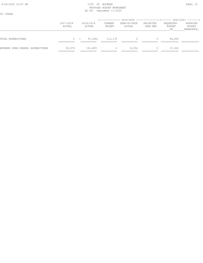20 -TAXES

## (-------------- 2019-2020 ---------------)(------- 2020-2021 --------) 2017-2018 2018-2019 CURRENT YEAR-TO-DATE PROJECTED REQUESTED APPROVED ACTUAL ACTUAL BUDGET ACTUAL YEAR END BUDGET BUDGET \_\_\_\_\_\_\_\_\_\_\_\_\_\_\_\_\_\_\_\_\_\_\_\_\_\_\_\_\_\_\_\_\_\_\_\_\_\_\_\_\_\_\_\_\_\_\_\_\_\_\_\_\_\_\_\_\_\_\_\_\_\_\_\_\_\_\_\_\_\_\_\_\_\_\_\_\_\_\_\_\_\_\_\_\_\_\_\_\_\_\_\_\_\_\_\_\_\_\_\_\_\_\_\_\_\_\_\_\_\_\_\_\_\_\_\_DR\_\_\_\_\_\_\_\_WORKSPACE\_ TOTAL EXPENDITURES 0 ( 97,366) 111,170 0 0 86,000 =========== =========== =========== =========== =========== ============ ============ REVENUE OVER/(UNDER) EXPENDITURES 93,979 191,809 0 8,556 0 27,363 =========== =========== =========== =========== =========== ============ ============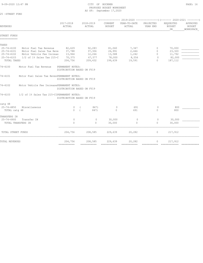#### 9-09-2020 12:47 PM CITY OF BUCKNER PAGE: 16 PROPOSED BUDGET WORKSHEET AS OF: September 17,2020

|                              |                                            |                                                |            | (------------- 2019-2020 ----------------)(------- 2020-2021 --------) |                          |                        |                       |                                  |                                        |
|------------------------------|--------------------------------------------|------------------------------------------------|------------|------------------------------------------------------------------------|--------------------------|------------------------|-----------------------|----------------------------------|----------------------------------------|
| REVENUES                     |                                            | 2017-2018<br>ACTUAL                            |            | 2018-2019<br>ACTUAL                                                    | CURRENT<br><b>BUDGET</b> | YEAR-TO-DATE<br>ACTUAL | PROJECTED<br>YEAR END | REQUESTED<br><b>BUDGET</b><br>DR | APPROVED<br><b>BUDGET</b><br>WORKSPACE |
| STREET FUNDS<br>============ |                                            |                                                |            |                                                                        |                          |                        |                       |                                  |                                        |
| TAXES                        |                                            |                                                |            |                                                                        |                          |                        |                       |                                  |                                        |
| $25 - 74 - 4100$             | Motor Fuel Tax Revenue                     | 82,629                                         |            | 92,283                                                                 | 81,060                   | 7,347                  | $\circ$               | 70,000                           |                                        |
| 25-74-4101                   | Motor Fuel Sales Tax Reve                  | 37,788                                         |            | 37,306                                                                 | 26,991                   | 2,446                  | $\circ$               | 23,320                           |                                        |
| $25 - 74 - 4102$             | Motor Vehicle Fee Increas                  | 13,964                                         |            | 12,266                                                                 | 13,588                   | 1,242                  | $\circ$               | 11,792                           |                                        |
| $25 - 74 - 4103$             | 1/2 of 1% Sales Tax 215-C                  | 70,375                                         |            | 67,577                                                                 | 78,000                   | 8,556                  | $\overline{0}$        | 82,000                           |                                        |
| TOTAL TAXES                  |                                            | 204,756                                        |            | 209,432                                                                | 199,639                  | 19,591                 | 0                     | 187, 112                         |                                        |
| 74-4100                      | Motor Fuel Tax Revenue                     | PERMANENT NOTES:<br>DISTRIBUTION BASED ON FY19 |            |                                                                        |                          |                        |                       |                                  |                                        |
| $74 - 4101$                  | Motor Fuel Sales Tax RevenPERMANENT NOTES: | DISTRIBUTION BASED ON FY19                     |            |                                                                        |                          |                        |                       |                                  |                                        |
| 74-4102                      | Motor Vehicle Fee IncreasePERMANENT NOTES: | DISTRIBUTION BASED ON FY19                     |            |                                                                        |                          |                        |                       |                                  |                                        |
| 74-4103                      | 1/2 of 1% Sales Tax 215-CIPERMANENT NOTES: | DISTRIBUTION BASED ON FY19                     |            |                                                                        |                          |                        |                       |                                  |                                        |
| catq 48                      |                                            |                                                |            |                                                                        |                          |                        |                       |                                  |                                        |
| 25-74-4850                   | Miscellaneous                              | $\circ$                                        |            | 847)                                                                   | $\circ$                  | 691                    | $\circ$               | 800                              |                                        |
| TOTAL catq 48                |                                            | $\cap$                                         | $\sqrt{ }$ | 847)                                                                   | $\circ$                  | 691                    | $\Omega$              | 800                              |                                        |
| TRANSFERS IN                 |                                            |                                                |            |                                                                        |                          |                        |                       |                                  |                                        |
| $25 - 74 - 4900$             | Transfer IN                                | $\mathbf{0}$                                   |            | $\mathbf{0}$                                                           | 30,000                   | 0                      | $\circ$               | 30,000                           |                                        |
| TOTAL TRANSFERS IN           |                                            | $\Omega$                                       |            | $\circ$                                                                | 30,000                   | $\circ$                | $\circ$               | 30,000                           |                                        |
| TOTAL STREET FUNDS           |                                            | 204,756                                        |            | 208,585                                                                | 229,639                  | 20,282                 | $\circ$               | 217,912                          |                                        |
| TOTAL REVENUES               |                                            | 204,756                                        |            | 208,585<br>------------                                                | 229,639<br>-----------   | 20,282                 | $\circ$               | 217,912<br>------------- -----   |                                        |
|                              |                                            | ===========                                    |            |                                                                        |                          |                        |                       |                                  |                                        |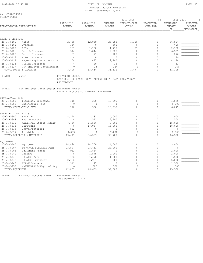25 -STREET FUND STREET FUNDS

|                                      |                                            |                                 |                                                       |                          | (-------------- 2019-2020 ----------------) (------- 2020-2021 --------) |                       |                                         |                                        |
|--------------------------------------|--------------------------------------------|---------------------------------|-------------------------------------------------------|--------------------------|--------------------------------------------------------------------------|-----------------------|-----------------------------------------|----------------------------------------|
|                                      | DEPARTMENTAL EXPENDITURES                  | 2017-2018<br>ACTUAL             | 2018-2019<br>ACTUAL                                   | CURRENT<br><b>BUDGET</b> | YEAR-TO-DATE<br>ACTUAL                                                   | PROJECTED<br>YEAR END | REQUESTED<br><b>BUDGET</b><br><b>DR</b> | APPROVED<br><b>BUDGET</b><br>WORKSPACE |
|                                      |                                            |                                 |                                                       |                          |                                                                          |                       |                                         |                                        |
| WAGES & BENEFITS                     |                                            |                                 |                                                       |                          |                                                                          |                       |                                         |                                        |
| $25 - 74 - 5101$                     | Waqes                                      | 2,445                           | 12,859                                                | 23,258                   | 1,380                                                                    | $\mathbf{0}$          | 36,504                                  |                                        |
| $25 - 74 - 5102$                     | Overtime                                   | 156                             | $\circ$                                               | 600                      | $\mathbb O$                                                              | $\mathbf{0}$          | 600                                     |                                        |
| $25 - 74 - 5120$                     | <b>FTCA</b>                                | 199                             | 1,150                                                 | 1,779                    | 97<br>$\mathbf 0$                                                        | $\Omega$<br>$\circ$   | 2,738                                   |                                        |
| $25 - 74 - 5121$<br>$25 - 74 - 5122$ | Health Insurance<br>Dental Insurance       | 344<br>31                       | 1,044<br>77                                           | 2,925<br>188             | $\Omega$                                                                 | $\Omega$              | 6,539<br>276                            |                                        |
| $25 - 74 - 5123$                     | Life Insurance                             | $\Omega$                        | $\Omega$                                              | $\Omega$                 | $\Omega$                                                                 | $\Omega$              | 249                                     |                                        |
| $25 - 74 - 5124$                     | Lagers Employers Contribu                  | 250                             | 477                                                   | 2,700                    | $\Omega$                                                                 | $\Omega$              | 4,198                                   |                                        |
| $25 - 74 - 5125$                     | Vision Insurance                           | $\overline{4}$                  | 20                                                    | 18                       | $\Omega$                                                                 | $\Omega$              | 31                                      |                                        |
| $25 - 74 - 5127$                     | HSA Employer Contribution                  | $\mathbf{0}$                    | 28                                                    | 144                      | $\Omega$                                                                 | $\Omega$              | 264                                     |                                        |
|                                      | TOTAL WAGES & BENEFITS                     | 3,428                           | 15,654                                                | 31,612                   | 1,477                                                                    | $\Omega$              | 51,399                                  |                                        |
| $74 - 5101$                          | Waqes                                      | PERMANENT NOTES:<br>ASSIGNMENTS | LAGERS & INSURANCE COSTS ACCRUE TO PRIMARY DEPARTMENT |                          |                                                                          |                       |                                         |                                        |
| 74-5127                              | HSA Employer Contribution PERMANENT NOTES: |                                 | BENEFIT ACCRUES TO PRIMARY DEPARTMENT                 |                          |                                                                          |                       |                                         |                                        |
| CONTRACTUAL SVCS                     |                                            |                                 |                                                       |                          |                                                                          |                       |                                         |                                        |
| $25 - 74 - 5200$                     | Liability Insurance                        | 110                             | 330                                                   | 10,095                   | $\Omega$                                                                 | $\Omega$              | 1,875                                   |                                        |
| $25 - 74 - 5203$                     | Engineering Fees                           | $\mathbb O$                     | $\Omega$                                              | $\Omega$                 | $\Omega$                                                                 | $\Omega$              | 5,000                                   |                                        |
|                                      | TOTAL CONTRACTUAL SVCS                     | 110                             | 330                                                   | 10,095                   | $\Omega$                                                                 | $\Omega$              | 6,875                                   |                                        |
| SUPPLIES & MATERIALS                 |                                            |                                 |                                                       |                          |                                                                          |                       |                                         |                                        |
| $25 - 74 - 5300$                     | SUPPLIES                                   | 8,378                           | 2,383                                                 | 4,000                    | $\mathbf 0$                                                              | $\mathbf{0}$          | 2,000                                   |                                        |
| $25 - 74 - 5308$                     | Fuel - Mowers                              | $\circ$                         | 1,573                                                 | 2,700                    | $\Omega$                                                                 | $\circ$               | 1,500                                   |                                        |
| $25 - 74 - 5310$                     | MATERIALS-Street Repair                    | 7,456                           | 64,536                                                | 70,000                   | $\Omega$                                                                 | $\mathbf{0}$          | 15,000                                  |                                        |
| $25 - 74 - 5315$                     | Salt/Sand                                  | $\mathbf{0}$                    | 17,037                                                | 16,000                   | $\Omega$                                                                 | $\circ$               | 18,000                                  |                                        |
| $25 - 74 - 5316$                     | Gravel/Saturock                            | 582                             | $\mathbf{0}$                                          | $\mathbf{0}$             | $\Omega$                                                                 | $\Omega$              | $\mathbf{0}$                            |                                        |
| $25 - 74 - 5317$                     | Liquid Brine                               | 3,033                           | $\mathbf{0}$                                          | 7,000                    | $\mathbf{0}$                                                             | $\mathbf{0}$          | 10,000                                  |                                        |
|                                      | TOTAL SUPPLIES & MATERIALS                 | 19,449                          | 85,529                                                | 99,700                   | $\cap$                                                                   | $\Omega$              | 46,500                                  |                                        |
| EOUIPMENT                            |                                            |                                 |                                                       |                          |                                                                          |                       |                                         |                                        |
| $25 - 74 - 5400$                     | Equipment                                  | 14,820                          | 14,700                                                | 4,500                    | $\mathbf 0$                                                              | $\circ$               | 3,000                                   |                                        |
| $25 - 74 - 5407$                     | PW TRUCK PURCHASE-PYMT                     | 23,547                          | 25,431                                                | 24,000                   | $\Omega$                                                                 | $\Omega$              | $\Omega$                                |                                        |
| $25 - 74 - 5408$                     | Equipment Rental                           | 912                             | 1,884)                                                | $\mathbf{0}$             | $\Omega$                                                                 | $\circ$               | 2,000                                   |                                        |
| $25 - 74 - 5440$                     | Repairs                                    | $\mathbf{0}$                    | 1,575                                                 | 2,000                    | $\Omega$                                                                 | $\Omega$              | 2,000                                   |                                        |
| $25 - 74 - 5441$                     | REPAIRS-Auto                               | 166                             | 1,478                                                 | 1,500                    | $\cap$                                                                   | $\circ$               | 1,500                                   |                                        |
| $25 - 74 - 5442$                     | REPAIRS-Equipment                          | 2,126                           | 4,987                                                 | 5,000                    | $\Omega$                                                                 | $\Omega$              | 5,000                                   |                                        |
| $25 - 74 - 5443$                     | REPAIRS-Mowers                             | 1,313                           | 47                                                    | $\circ$                  | $\Omega$                                                                 | $\Omega$              | 1,500                                   |                                        |
| $25 - 74 - 5453$                     | MAINTENANCE-Right of Way                   | $\mathbf{0}$                    | 306                                                   | 500                      | $\Omega$                                                                 | $\Omega$              | 500                                     |                                        |
| TOTAL EQUIPMENT                      |                                            | 42,885                          | 46,639                                                | 37,500                   | $\Omega$                                                                 | $\Omega$              | 15,500                                  |                                        |

74-5407 PW TRUCK PURCHASE-PYMT PERMANENT NOTES:

last payment 7/2020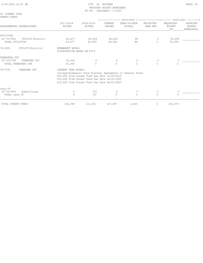| 9-09-2020 12:47 PM |  |  |
|--------------------|--|--|
|                    |  |  |

#### CITY OF BUCKNER PAGE: 18 PROPOSED BUDGET WORKSHEET AS OF: September 17,2020

| 25 -STREET FUND<br>STREET FUNDS                   |                                                |                                                                                                                                                                                                                |                                 |                                                                                                     |                       |                                  |                                 |
|---------------------------------------------------|------------------------------------------------|----------------------------------------------------------------------------------------------------------------------------------------------------------------------------------------------------------------|---------------------------------|-----------------------------------------------------------------------------------------------------|-----------------------|----------------------------------|---------------------------------|
| DEPARTMENTAL EXPENDITURES                         | 2017-2018<br>ACTUAL                            | 2018-2019<br>ACTUAL                                                                                                                                                                                            | <b>CURRENT</b><br><b>BUDGET</b> | (-------------- 2019-2020 -----------------) (------- 2020-2021 --------)<br>YEAR-TO-DATE<br>ACTUAL | PROJECTED<br>YEAR END | REQUESTED<br><b>BUDGET</b><br>DR | APPROVED<br>BUDGET<br>WORKSPACE |
| UTILITIES                                         |                                                |                                                                                                                                                                                                                |                                 |                                                                                                     |                       |                                  |                                 |
| 25-74-5501<br>UTILITY-Electric<br>TOTAL UTILITIES | 43,477                                         | 43,477 62,909<br>62,909                                                                                                                                                                                        | 49,000<br>49,000                | 88<br>88                                                                                            | $\circ$<br>$\Omega$   | 45,000<br>45,000                 |                                 |
| UTILITY-Electric<br>74-5501                       | PERMANENT NOTES:<br>DISTRIBUTION BASED ON FY19 |                                                                                                                                                                                                                |                                 |                                                                                                     |                       |                                  |                                 |
| TRANSFERS OUT                                     |                                                |                                                                                                                                                                                                                |                                 |                                                                                                     |                       |                                  |                                 |
| $25 - 74 - 5700$<br>TRANSFER OUT                  | 25,000                                         | $\Omega$                                                                                                                                                                                                       | $\Omega$                        | $\mathbf{0}$                                                                                        | $\Omega$              | $\Omega$                         |                                 |
| TOTAL TRANSFERS OUT                               | 25,000                                         | $\Omega$                                                                                                                                                                                                       | $\Omega$                        | $\bigcap$                                                                                           | $\Omega$              | $\Omega$                         |                                 |
| 74-5700<br>TRANSFER OUT                           | CURRENT YEAR NOTES:                            |                                                                                                                                                                                                                |                                 |                                                                                                     |                       |                                  |                                 |
|                                                   |                                                | Intragovernmental Fund Transfer Agreements to General Fund:<br>\$30,000 From Street Fund Due Date 10/05/2019<br>\$15,000 From Street Fund Due Date 06/20/2020<br>\$15,000 From Street Fund Due Date 08/01/2020 |                                 |                                                                                                     |                       |                                  |                                 |
| carq 59                                           |                                                |                                                                                                                                                                                                                |                                 |                                                                                                     |                       |                                  |                                 |
| Advertising<br>$25 - 74 - 5903$                   | 0                                              | 751                                                                                                                                                                                                            | 0                               | 0                                                                                                   | $\Omega$              | 0                                |                                 |
| TOTAL carg 59                                     | $\Omega$                                       | 751                                                                                                                                                                                                            | $\Omega$                        | $\Omega$                                                                                            | $\Omega$              | $\Omega$                         |                                 |
| TOTAL STREET FUNDS                                | 134,349                                        | 211,811                                                                                                                                                                                                        | 227,907                         | 1,565                                                                                               | $\circ$               | 165,274                          |                                 |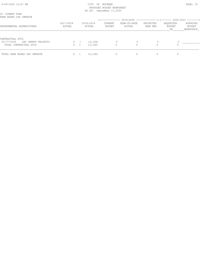#### 9-09-2020 12:47 PM PAGE: 19 PROPOSED BUDGET WORKSHEET AS OF: September 17,2020

## (-------------- 2019-2020 ---------------)(------- 2020-2021 --------) 2017-2018 2018-2019 CURRENT YEAR-TO-DATE PROJECTED REQUESTED APPROVED DEPARTMENTAL EXPENDITURES ACTUAL ACTUAL BUDGET ACTUAL YEAR END BUDGET BUDGET \_\_\_\_\_\_\_\_\_\_\_\_\_\_\_\_\_\_\_\_\_\_\_\_\_\_\_\_\_\_\_\_\_\_\_\_\_\_\_\_\_\_\_\_\_\_\_\_\_\_\_\_\_\_\_\_\_\_\_\_\_\_\_\_\_\_\_\_\_\_\_\_\_\_\_\_\_\_\_\_\_\_\_\_\_\_\_\_\_\_\_\_\_\_\_\_\_\_\_\_\_\_\_\_\_\_\_\_\_\_\_\_\_\_\_\_DR\_\_\_\_\_\_\_\_WORKSPACE\_ CONTRACTUAL SVCS 25-77-5209 CAP IMPROV PROJECTS 0 ( 13,128) 0 0 0 0 TOTAL CONTRACTUAL SVCS 0 ( 13,128) 0 0 0 0 TOTAL PARK BOARD CAP IMPROVE 0 ( 13,128) 0 0 0 0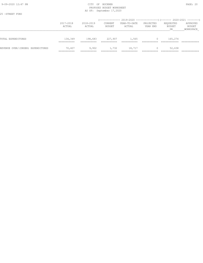#### 9-09-2020 12:47 PM PAGE: 20 PROPOSED BUDGET WORKSHEET AS OF: September 17,2020

25 -STREET FUND

|                                   | 2017-2018<br>ACTUAL    | $2018 - 2019$<br>ACTUAL | CURRENT<br>BUDGET     | (-------------- 2019-2020 -----------------) (------- 2020-2021 --------)<br>YEAR-TO-DATE<br>ACTUAL | PROJECTED<br>YEAR END | REQUESTED<br>BUDGET<br>DR | APPROVED<br>BUDGET<br>WORKSPACE |
|-----------------------------------|------------------------|-------------------------|-----------------------|-----------------------------------------------------------------------------------------------------|-----------------------|---------------------------|---------------------------------|
| TOTAL EXPENDITURES                | 134,349<br>___________ | 198,683                 | 227,907               | 1,565                                                                                               |                       | 165,274                   |                                 |
| REVENUE OVER/(UNDER) EXPENDITURES | 70,407<br>___________  | 9,902<br>___________    | 1,732<br>------------ | 18,717<br>__________                                                                                |                       | 52,638                    |                                 |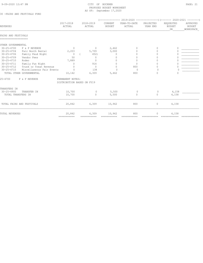#### 9-09-2020 12:47 PM PAGE: 21 PROPOSED BUDGET WORKSHEET AS OF: September 17,2020

#### 30 -FAIRS AND FESTIVALS FUND

|                                            |                           |                                                |                      |                                 | (-------------- 2019-2020 -----------------) (------- 2020-2021 --------) |                            |                                  |                                        |  |  |
|--------------------------------------------|---------------------------|------------------------------------------------|----------------------|---------------------------------|---------------------------------------------------------------------------|----------------------------|----------------------------------|----------------------------------------|--|--|
| REVENUES                                   |                           | 2017-2018<br>ACTUAL                            | 2018-2019<br>ACTUAL  | <b>CURRENT</b><br><b>BUDGET</b> | YEAR-TO-DATE<br>ACTUAL                                                    | PROJECTED<br>YEAR END      | REQUESTED<br><b>BUDGET</b><br>DR | APPROVED<br><b>BUDGET</b><br>WORKSPACE |  |  |
| FAIRS AND FESTIVALS<br>=================== |                           |                                                |                      |                                 |                                                                           |                            |                                  |                                        |  |  |
| OTHER GOVERNMENTAL                         |                           |                                                |                      |                                 |                                                                           |                            |                                  |                                        |  |  |
| $30 - 25 - 4700$                           | F & F REVENUE             | $\Omega$                                       | 0                    | 2,462                           | 0                                                                         | $\Omega$                   | $\Omega$                         |                                        |  |  |
| $30 - 25 - 4704$                           | Fair Booth Rental         | 2,203                                          | 5,709                | 3,000                           | U                                                                         | $\Omega$                   | O                                |                                        |  |  |
| $30 - 25 - 4706$                           | Family Feud Night         | $\mathbf{0}$                                   | 452)                 | $\circ$                         | U                                                                         | $\Omega$                   | O                                |                                        |  |  |
| $30 - 25 - 4709$                           | Vendor Fees               | 50                                             | $\circ$              | O                               | 0                                                                         | $\bigcap$                  | $\Omega$                         |                                        |  |  |
| $30 - 25 - 4710$                           | Rodeo                     | 7,889                                          | $\mathbf 0$          | $\Omega$                        | U                                                                         | O                          | 0                                |                                        |  |  |
| $30 - 25 - 4711$                           | Family Fun Night          | $\Omega$                                       | 914                  | $\Omega$                        | 0                                                                         | $\Omega$                   | $\Omega$                         |                                        |  |  |
| $30 - 25 - 4712$                           | Trunk or Treat Revenue    | $\Omega$                                       | $\Omega$             | $\Omega$                        | 800                                                                       | ∩                          | 0                                |                                        |  |  |
| $30 - 25 - 4715$                           | Miscellaneous Fair Events | $\Omega$                                       | 138                  |                                 | $\circ$                                                                   |                            | $\cup$                           |                                        |  |  |
|                                            | TOTAL OTHER GOVERNMENTAL  | 10,142                                         | 6,309                | 5,462                           | 800                                                                       | $\Omega$                   | $\Omega$                         |                                        |  |  |
| 25-4700                                    | F & F REVENUE             | PERMANENT NOTES:<br>DISTRIBUTION BASED ON FY19 |                      |                                 |                                                                           |                            |                                  |                                        |  |  |
| TRANSFERS IN                               |                           |                                                |                      |                                 |                                                                           |                            |                                  |                                        |  |  |
| $30 - 25 - 4900$                           | TRANSFER IN               | 10,700                                         | $\Omega$             | 5,500                           | $\circ$                                                                   | $\Omega$                   | 4,158                            |                                        |  |  |
| TOTAL TRANSFERS IN                         |                           | 10,700                                         | $\Omega$             | 5,500                           | $\Omega$                                                                  | $\circ$                    | 4,158                            |                                        |  |  |
| TOTAL FAIRS AND FESTIVALS                  |                           | 20,842                                         | 6,309                | 10,962                          | 800                                                                       | 0                          | 4,158                            |                                        |  |  |
| TOTAL REVENUES                             |                           | 20,842<br>-----------                          | 6,309<br>----------- | 10,962<br>------------          | 800<br>===========                                                        | $\mathbf 0$<br>=========== | 4,158<br>------------            |                                        |  |  |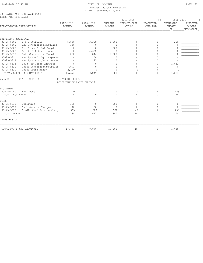#### 9-09-2020 12:47 PM PAGE: 22 PROPOSED BUDGET WORKSHEET AS OF: September 17,2020

30 -FAIRS AND FESTIVALS FUND FAIRS AND FESTIVALS

| DEPARTMENTAL EXPENDITURES |                            | 2017-2018<br>ACTUAL        | 2018-2019<br>ACTUAL | CURRENT<br><b>BUDGET</b> | YEAR-TO-DATE<br>ACTUAL | PROJECTED<br>YEAR END | REQUESTED<br><b>BUDGET</b><br>DR | APPROVED<br><b>BUDGET</b><br>WORKSPACE |
|---------------------------|----------------------------|----------------------------|---------------------|--------------------------|------------------------|-----------------------|----------------------------------|----------------------------------------|
|                           |                            |                            |                     |                          |                        |                       |                                  |                                        |
| SUPPLIES & MATERIALS      |                            |                            |                     |                          |                        |                       |                                  |                                        |
| $30 - 25 - 5300$          | F & F SUPPLIES             | 5,850                      | 3,329               | 6,000                    | 0                      | $\Omega$              | 200                              |                                        |
| $30 - 25 - 5301$          | BBQ Concessions/Supplies   | 350                        | 0                   | 0                        | $\Omega$               | $\Omega$              | $\circ$                          |                                        |
| $30 - 25 - 5305$          | Ice Cream Social Supplies  | $\mathbf{0}$               | $\Omega$            | 800                      | 0                      | $\Omega$              | O                                |                                        |
| $30 - 25 - 5306$          | Festival Entertainment     | $\mathbf{0}$               | 4,692               | $\circ$                  | U                      | $\Omega$              |                                  |                                        |
| $30 - 25 - 5310$          | Fair Concessions/Supplies  | 800                        | 844                 | 2,800                    | U                      | $\Omega$              | O                                |                                        |
| $30 - 25 - 5311$          | Family Feud Night Expense  | $\circ$                    | 260                 | 0                        | 0                      | 0                     | 0                                |                                        |
| $30 - 25 - 5312$          | Family Fun Night Expenses  | $\mathbf{0}$               | 125                 | 0                        | 0                      | 0                     | $\mathbf{0}$                     |                                        |
| $30 - 25 - 5313$          | Truck or Treat Expenses    | $\circ$                    | $\circ$             | 0                        | U                      | $\Omega$              | 1,033                            |                                        |
| $30 - 25 - 5320$          | Rodeo Concessions/Supplie  | 7,073                      | $\Omega$            | $\Omega$                 | U                      | $\Omega$              | 0                                |                                        |
| $30 - 25 - 5321$          | Rodeo Prize Money          | 2,600                      | $\Omega$            | $\Omega$                 | $\Omega$               | $\cap$                |                                  |                                        |
|                           | TOTAL SUPPLIES & MATERIALS | 16,673                     | 9,249               | 9,600                    | U                      | $\Omega$              | 1,233                            |                                        |
| $25 - 5300$               | F & F SUPPLIES             | PERMANENT NOTES:           |                     |                          |                        |                       |                                  |                                        |
|                           |                            | DISTRIBUTION BASED ON FY19 |                     |                          |                        |                       |                                  |                                        |
| <b>EOUIPMENT</b>          |                            |                            |                     |                          |                        |                       |                                  |                                        |
| $30 - 25 - 5400$          | MAFF Dues                  | $\mathbf{0}$               | $\circ$             | $\mathbf{0}$             | $\circ$                | $\circ$               | 155                              |                                        |
| TOTAL EQUIPMENT           |                            | $\Omega$                   | $\Omega$            | $\Omega$                 | $\Omega$               | $\Omega$              | 155                              |                                        |
| OTHER                     |                            |                            |                     |                          |                        |                       |                                  |                                        |
| $30 - 25 - 5618$          | Utilities                  | 385                        | $\Omega$            | 500                      | $\Omega$               | $\Omega$              | $\circ$                          |                                        |
| $30 - 25 - 5619$          | Bank Service Charges       | 40                         | 38                  | $\circ$                  | $\Omega$               | $\Omega$              | $\mathbf{0}$                     |                                        |
| $30 - 25 - 5620$          | Credit Card Service Charg  | 363                        | 588                 | 300                      | 40                     | $\bigcap$             | 250                              |                                        |
| TOTAL OTHER               |                            | 788                        | 627                 | 800                      | 40                     | $\Omega$              | 250                              |                                        |
| TRANSFERS OUT             |                            |                            |                     |                          |                        |                       |                                  |                                        |
|                           | TOTAL FAIRS AND FESTIVALS  | 17,461                     | 9,876               | 10,400                   | 40                     | $\mathbf{0}$          | 1,638                            |                                        |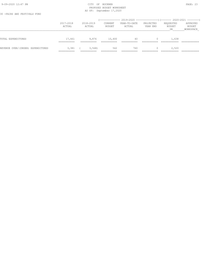#### 9-09-2020 12:47 PM PAGE: 23 PROPOSED BUDGET WORKSHEET AS OF: September 17,2020

30 -FAIRS AND FESTIVALS FUND

|                                   | 2017-2018<br>ACTUAL                  | 2018-2019<br>ACTUAL  | CURRENT<br>BUDGET | (-------------- 2019-2020 -----------------) (------- 2020-2021 --------)<br>YEAR-TO-DATE<br>ACTUAL | PROJECTED<br>YEAR END | REQUESTED<br>BUDGET<br>DR | APPROVED<br>BUDGET<br>WORKSPACE |
|-----------------------------------|--------------------------------------|----------------------|-------------------|-----------------------------------------------------------------------------------------------------|-----------------------|---------------------------|---------------------------------|
| TOTAL EXPENDITURES                | 17,461<br>-----------<br>___________ | 9,876                | 10,400            | 40                                                                                                  |                       | 1,638                     |                                 |
| REVENUE OVER/(UNDER) EXPENDITURES | 3,381<br>___________                 | 3,568<br>___________ | 562               | 760<br>_______                                                                                      |                       | 2,520                     |                                 |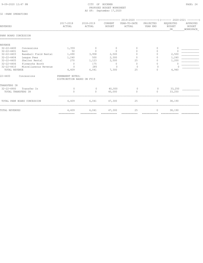#### 9-09-2020 12:47 PM PAGE: 24 PROPOSED BUDGET WORKSHEET AS OF: September 17,2020

### 32 -PARK OPERATIONS

|                                                 |                             | (-------------- 2019-2020 ----------------) (------- 2020-2021 --------) |                      |                                 |                        |                       |                                  |                                        |  |  |
|-------------------------------------------------|-----------------------------|--------------------------------------------------------------------------|----------------------|---------------------------------|------------------------|-----------------------|----------------------------------|----------------------------------------|--|--|
| REVENUES                                        |                             | 2017-2018<br>ACTUAL                                                      | 2018-2019<br>ACTUAL  | <b>CURRENT</b><br><b>BUDGET</b> | YEAR-TO-DATE<br>ACTUAL | PROJECTED<br>YEAR END | REQUESTED<br><b>BUDGET</b><br>DR | APPROVED<br><b>BUDGET</b><br>WORKSPACE |  |  |
| PARK BOARD CONCESSION<br>====================== |                             |                                                                          |                      |                                 |                        |                       |                                  |                                        |  |  |
| REVENUE                                         |                             |                                                                          |                      |                                 |                        |                       |                                  |                                        |  |  |
| $32 - 22 - 4400$                                | Concessions                 | 1,359                                                                    | $\circ$              | $\mathbf{0}$                    | 0                      | $\mathbf{0}$          | $\circ$                          |                                        |  |  |
| $32 - 22 - 4401$                                | Rent                        | 50                                                                       | $\Omega$             | $\Omega$                        | $\Omega$               | $\circ$               | $\Omega$                         |                                        |  |  |
| $32 - 22 - 4403$                                | Baseball Field Rental       | 1,490                                                                    | 3,958                | 2,500                           | $\Omega$               | $\circ$               | 2,500                            |                                        |  |  |
| $32 - 22 - 4404$                                | League Fees                 | 1,240                                                                    | 500                  | 2,300                           | 0                      | $\Omega$              | 1,240                            |                                        |  |  |
| $32 - 22 - 4405$                                | Shelter Rental              | 270                                                                      | 1,123                | 2,500                           | 25                     | O                     | 1,200                            |                                        |  |  |
| $32 - 22 - 4406$                                | Fireworks Booth             | $\Omega$                                                                 | 175                  | $\circ$                         | 0                      | $\Omega$              | $\Omega$                         |                                        |  |  |
| $32 - 22 - 4410$                                | Miscellaneous Revenue       | $\Omega$                                                                 | 285                  | $\Omega$                        | $\bigcap$              |                       |                                  |                                        |  |  |
| TOTAL REVENUE                                   |                             | 4,409                                                                    | 6,041                | 7,300                           | 25                     | $\mathbf{0}$          | 4,940                            |                                        |  |  |
| $22 - 4400$                                     | Concessions                 | PERMANENT NOTES:<br>DISTRIBUTION BASED ON FY19                           |                      |                                 |                        |                       |                                  |                                        |  |  |
| TRANSFERS IN                                    |                             |                                                                          |                      |                                 |                        |                       |                                  |                                        |  |  |
| $32 - 22 - 4900$                                | Transfer In                 | $\circ$                                                                  | 0                    | 40,000                          | $\circ$                | 0                     | 33,250                           |                                        |  |  |
| TOTAL TRANSFERS IN                              |                             | $\circ$                                                                  | $\circ$              | 40,000                          | $\Omega$               | $\circ$               | 33,250                           |                                        |  |  |
|                                                 | TOTAL PARK BOARD CONCESSION | 4,409                                                                    | 6,041                | 47,300                          | 25                     | $\circ$               | 38,190                           |                                        |  |  |
| TOTAL REVENUES                                  |                             | 4,409<br>------------                                                    | 6,041<br>----------- | 47,300<br>------------          | 25<br>===========      | 0                     | 38,190<br>------------           |                                        |  |  |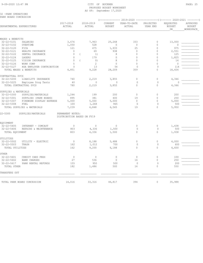|  |  | 32 - PARK OPERATIONS  |
|--|--|-----------------------|
|  |  | PARK BOARD CONCESSION |

|                                      |                             |                                                |          |                     |                          | (-------------- 2019-2020 ----------------) (------- 2020-2021 --------) |                       |                                  |                                        |
|--------------------------------------|-----------------------------|------------------------------------------------|----------|---------------------|--------------------------|--------------------------------------------------------------------------|-----------------------|----------------------------------|----------------------------------------|
| DEPARTMENTAL EXPENDITURES            |                             | 2017-2018<br>ACTUAL                            |          | 2018-2019<br>ACTUAL | CURRENT<br><b>BUDGET</b> | YEAR-TO-DATE<br>ACTUAL                                                   | PROJECTED<br>YEAR END | REQUESTED<br><b>BUDGET</b><br>DR | APPROVED<br><b>BUDGET</b><br>WORKSPACE |
|                                      |                             |                                                |          |                     |                          |                                                                          |                       |                                  |                                        |
| WAGES & BENEFITS<br>$32 - 22 - 5101$ | SALARIES                    | 3,676                                          |          | 7,963               | 25,268                   | 333                                                                      | $\circ$               | 13,000                           |                                        |
| $32 - 22 - 5102$                     | OVERTIME                    | 1,050                                          |          | 528                 | $\circ$                  | $\circ$                                                                  | 0                     | $\circ$                          |                                        |
| $32 - 22 - 5120$                     | FICA                        | 121                                            |          | 475                 | 1,933                    | 25                                                                       | $\mathbf 0$           | 975                              |                                        |
| $32 - 22 - 5121$                     | HEALTH INSURANCE            | $\Omega$                                       |          | 69                  | 938                      | $\Omega$                                                                 | $\Omega$              | 2,551                            |                                        |
| $32 - 22 - 5122$                     | DENTAL INSURANCE            | $\circ$                                        | $\left($ | <sup>1</sup>        | 8                        | $\Omega$                                                                 | 0                     | 125                              |                                        |
| $32 - 22 - 5124$                     | LAGERS                      | $\mathbf{0}$                                   |          | 179                 | $\mathbf{0}$             | $\Omega$                                                                 | $\Omega$              | 1,825                            |                                        |
| $32 - 22 - 5125$                     | VISION INSURANCE            | $\circ$                                        | $\left($ | 0)                  | 8                        | $\Omega$                                                                 | 0                     | 14                               |                                        |
| $32 - 22 - 5126$                     | WORK COMP                   | 5                                              |          | $\mathbf{2}$        | $\Omega$                 | $\Omega$                                                                 | $\Omega$              | $\Omega$                         |                                        |
| $32 - 22 - 5127$                     | HSA EMPLOYER CONTRIBUTION   | $\mathbf{0}$                                   |          | 13                  | 54                       | $\mathbf{0}$                                                             | $\mathbf{0}$          | 114                              |                                        |
|                                      | TOTAL WAGES & BENEFITS      | 4,851                                          |          | 9,228               | 28,209                   | 359                                                                      | $\Omega$              | 18,604                           |                                        |
| CONTRACTUAL SVCS                     |                             |                                                |          |                     |                          |                                                                          |                       |                                  |                                        |
| $32 - 22 - 5200$                     | LIABILITY INSURANCE         | 740                                            |          | 2,219               | 3,855                    | $\circ$                                                                  | $\circ$               | 4,346                            |                                        |
| $32 - 22 - 5225$                     | Employee Drug Tests         | 40                                             |          | $\circ$             | $\mathbf{0}$             | $\mathbf{0}$                                                             | $\circ$               | $\mathbf{0}$                     |                                        |
|                                      | TOTAL CONTRACTUAL SVCS      | 780                                            |          | 2,219               | 3,855                    | $\Omega$                                                                 | $\Omega$              | 4,346                            |                                        |
| SUPPLIES & MATERIALS                 |                             |                                                |          |                     |                          |                                                                          |                       |                                  |                                        |
| $32 - 22 - 5300$                     | SUPPLIES/MATERIALS          | 1,244                                          |          | 199                 | 200                      | $\circ$                                                                  | $\circ$               | 200                              |                                        |
| $32 - 22 - 5301$                     | SUPPLIES (PARK BOARD)       | 895                                            |          | 381                 | 400                      | 19                                                                       | 0                     | 250                              |                                        |
| $32 - 22 - 5307$                     | FIREWORK DISPLAY EXPENSE    | 5,000                                          |          | 5,000               | 5,000                    | $\Omega$                                                                 | $\circ$               | 5,000                            |                                        |
| $32 - 22 - 5308$                     | FUEL                        | 100                                            |          | 1,268               | 965                      | $\circ$                                                                  | $\Omega$              | 500                              |                                        |
|                                      | TOTAL SUPPLIES & MATERIALS  | 7,239                                          |          | 6,848               | 6,565                    | 19                                                                       | $\Omega$              | 5,950                            |                                        |
| 22-5300                              | SUPPLIES/MATERIALS          | PERMANENT NOTES:<br>DISTRIBUTION BASED ON FY19 |          |                     |                          |                                                                          |                       |                                  |                                        |
| EOUIPMENT                            |                             |                                                |          |                     |                          |                                                                          |                       |                                  |                                        |
| $32 - 22 - 5405$                     | INTERNET - COMCAST          | $\circ$                                        |          | $\circ$             | $\circ$                  | $\circ$                                                                  | $\circ$               | 1,438                            |                                        |
| $32 - 22 - 5406$                     | REPAIRS & MAINTENANCE       | 803                                            |          | 4,336               | 1,500                    | $\circ$                                                                  | $\Omega$              | 500                              |                                        |
| TOTAL EQUIPMENT                      |                             | 803                                            |          | 4,336               | 1,500                    | $\Omega$                                                                 | $\Omega$              | 1,938                            |                                        |
| UTILITIES                            |                             |                                                |          |                     |                          |                                                                          |                       |                                  |                                        |
| 32-22-5502                           | UTILITY - ELECTRIC          | $\mathbf{0}$                                   |          | 8,188               | 5,488                    | $\circ$                                                                  | $\circ$               | 4,000                            |                                        |
| $32 - 22 - 5503$                     | TRASH                       | 162                                            |          | 1,012               | 700                      | 0                                                                        | $\circ$               | 600                              |                                        |
| TOTAL UTILITIES                      |                             | 162                                            |          | 9,200               | 6,188                    | $\mathbf 0$                                                              | $\circ$               | 4,600                            |                                        |
| OTHER                                |                             |                                                |          |                     |                          |                                                                          |                       |                                  |                                        |
| $32 - 22 - 5601$                     | CREDIT CARD FEES            | $\circ$                                        |          | $\circ$             | $\circ$                  | $\circ$                                                                  | $\mathbb O$           | 100                              |                                        |
| $32 - 22 - 5602$                     | <b>BANK CHARGES</b>         | 27                                             |          | 536                 | $\circ$                  | 16                                                                       | $\Omega$              | 250                              |                                        |
| $32 - 22 - 5617$                     | PARK RENTAL REFUNDS         | 155                                            |          | 950                 | 500                      | $\circ$                                                                  | $\circ$               | 200                              |                                        |
| TOTAL OTHER                          |                             | 182                                            |          | 1,486               | 500                      | 16                                                                       | $\Omega$              | 550                              |                                        |
| TRANSFERS OUT                        |                             |                                                |          |                     |                          |                                                                          |                       |                                  |                                        |
|                                      | TOTAL PARK BOARD CONCESSION | 14,016                                         |          | 33,316              | 46,817                   | 394                                                                      | 0                     | 35,988                           |                                        |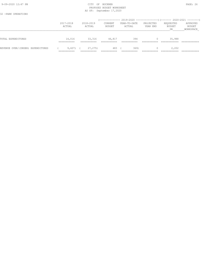#### 9-09-2020 12:47 PM CITY OF BUCKNER PAGE: 26 PROPOSED BUDGET WORKSHEET AS OF: September 17,2020

32 -PARK OPERATIONS

|                                   | 2017-2018<br>ACTUAL                     | 2018-2019<br>ACTUAL                   | CURRENT<br>BUDGET     | (-------------- 2019-2020 ----------------) (------- 2020-2021 --------)<br>YEAR-TO-DATE<br>ACTUAL | PROJECTED<br>YEAR END | REQUESTED<br><b>BUDGET</b><br>DR | APPROVED<br>BUDGET<br>WORKSPACE |
|-----------------------------------|-----------------------------------------|---------------------------------------|-----------------------|----------------------------------------------------------------------------------------------------|-----------------------|----------------------------------|---------------------------------|
| TOTAL EXPENDITURES                | 14,016<br>___________<br>----------     | 33,316<br>___________                 | 46,817<br>----------- | 394<br>----------                                                                                  |                       | 35,988                           |                                 |
| REVENUE OVER/(UNDER) EXPENDITURES | $9,607$ (<br>___________<br>___________ | 27,275)<br>___________<br>___________ | 483<br>___________    | 3691<br>___________                                                                                | _________             | 2,202<br>____________            |                                 |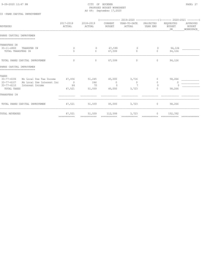#### 9-09-2020 12:47 PM CITY OF BUCKNER PAGE: 27 PROPOSED BUDGET WORKSHEET AS OF: September 17,2020

#### 33 -PARK CAPITAL IMPROVEMENT

|                     |                                                             | (-------------- 2019-2020 ----------------) (------- 2020-2021 --------) |                                                     |                                                             |                           |                                             |  |
|---------------------|-------------------------------------------------------------|--------------------------------------------------------------------------|-----------------------------------------------------|-------------------------------------------------------------|---------------------------|---------------------------------------------|--|
| 2017-2018<br>ACTUAL | 2018-2019<br>ACTUAL                                         | CURRENT<br><b>BUDGET</b>                                                 | YEAR-TO-DATE<br>ACTUAL                              | PROJECTED<br>YEAR END                                       | REQUESTED<br>BUDGET<br>DR | APPROVED<br>BUDGET<br>WORKSPACE             |  |
|                     |                                                             |                                                                          |                                                     |                                                             |                           |                                             |  |
|                     |                                                             |                                                                          |                                                     |                                                             |                           |                                             |  |
|                     |                                                             |                                                                          |                                                     |                                                             |                           |                                             |  |
| 0                   | $\circ$                                                     |                                                                          | $\circ$                                             | $\overline{0}$                                              | 94,126                    |                                             |  |
| $\Omega$            | $\circ$                                                     | 67,599                                                                   | $\Omega$                                            | $\circ$                                                     | 94,126                    |                                             |  |
| $\mathbf{0}$        | $\circ$                                                     | 67,599                                                                   | $\circ$                                             | $\circ$                                                     | 94,126                    |                                             |  |
|                     |                                                             |                                                                          |                                                     |                                                             |                           |                                             |  |
|                     |                                                             |                                                                          |                                                     |                                                             |                           |                                             |  |
|                     |                                                             |                                                                          |                                                     | 0                                                           |                           |                                             |  |
| $\sim$ 0            | 244                                                         | $\overline{0}$                                                           | $\mathbf{0}$                                        | $\circ$                                                     | $\mathbf{0}$              |                                             |  |
| 64                  | 70                                                          | $\Omega$                                                                 | $7\phantom{.0}$                                     | $\bigcap$                                                   |                           |                                             |  |
| 47,521              | 51,559                                                      | 45,000                                                                   | 3,723                                               | $\mathbf{0}$                                                | 58,266                    |                                             |  |
|                     |                                                             |                                                                          |                                                     |                                                             |                           |                                             |  |
| 47,521              |                                                             |                                                                          |                                                     |                                                             | 58,266                    |                                             |  |
| 47,521              | 51,559                                                      | 112,599                                                                  | 3,723                                               | 0                                                           | 152,392                   |                                             |  |
|                     | Mo Local Use Tax Income 47,456<br>Mo Local Use Interest Inc | 51,245                                                                   | 45,000<br>-----------<br>-----------<br>=========== | 67,599<br>3,716<br>$51,559$ $45,000$ $3,723$<br>=========== | ===========               | 58,266<br>$0 \qquad \qquad$<br>------------ |  |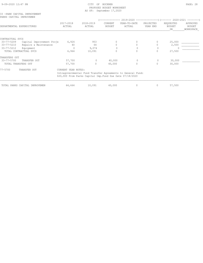#### 9-09-2020 12:47 PM PAGE: 28 PROPOSED BUDGET WORKSHEET AS OF: September 17,2020

|  |  | 33 - PARK CAPITAL IMPROVEMENT |
|--|--|-------------------------------|
|  |  | PARKS CAPITAL IMPROVEMEN      |

|                     |                                |                     |                                                           | ------------             | 2019-2020 ---------------------- (-------- 2020-2021 ----------- |                       |                                   |                                        |
|---------------------|--------------------------------|---------------------|-----------------------------------------------------------|--------------------------|------------------------------------------------------------------|-----------------------|-----------------------------------|----------------------------------------|
|                     | DEPARTMENTAL EXPENDITURES      | 2017-2018<br>ACTUAL | 2018-2019<br>ACTUAL                                       | CURRENT<br><b>BUDGET</b> | YEAR-TO-DATE<br>ACTUAL                                           | PROJECTED<br>YEAR END | REQUESTED<br><b>BUDGET</b><br>DR. | APPROVED<br><b>BUDGET</b><br>WORKSPACE |
|                     |                                |                     |                                                           |                          |                                                                  |                       |                                   |                                        |
| CONTRACTUAL SVCS    |                                |                     |                                                           |                          |                                                                  |                       |                                   |                                        |
| $33 - 77 - 5209$    | Capital Improvement Proje      | 6,924               | 953                                                       | $\Omega$                 | $\Omega$                                                         | 0                     | 25,000                            |                                        |
| 33-77-5210          | Repairs & Maintenance          | 40                  | 64                                                        | 0                        |                                                                  |                       | 2,500                             |                                        |
| $33 - 77 - 5212$    | Equipment                      | $\mathbf{0}$        | 9,074                                                     |                          |                                                                  | $\Omega$              |                                   |                                        |
|                     | TOTAL CONTRACTUAL SVCS         | 6,964               | 10,091                                                    | 0                        |                                                                  | 0                     | 27,500                            |                                        |
| TRANSFERS OUT       |                                |                     |                                                           |                          |                                                                  |                       |                                   |                                        |
| 33-77-5700          | TRANSFER OUT                   | 57,700              | $\Omega$                                                  | 40,000                   | $\Omega$                                                         | $\Omega$              | 30,000                            |                                        |
| TOTAL TRANSFERS OUT |                                | 57,700              | $\Omega$                                                  | 40,000                   |                                                                  | $\circ$               | 30,000                            |                                        |
| 77-5700             | TRANSFER OUT                   | CURRENT YEAR NOTES: |                                                           |                          |                                                                  |                       |                                   |                                        |
|                     |                                |                     | \$20,000 From Parks Capital Imp. Fund Due Date 07/18/2020 |                          | Intragovernmental Fund Transfer Agreements to General Fund:      |                       |                                   |                                        |
|                     | TOTAL PARKS CAPITAL IMPROVEMEN | 64,664              | 10,091                                                    | 40,000                   | 0                                                                | 0                     | 57,500                            |                                        |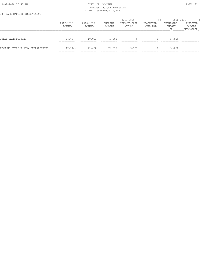#### 9-09-2020 12:47 PM CITY OF BUCKNER PAGE: 29 PROPOSED BUDGET WORKSHEET AS OF: September 17,2020

33 -PARK CAPITAL IMPROVEMENT

|                                   | 2017-2018<br>ACTUAL    | 2018-2019<br>ACTUAL | CURRENT<br>BUDGET | YEAR-TO-DATE<br>ACTUAL | PROJECTED<br>YEAR END | REQUESTED<br>BUDGET<br>DR. | APPROVED<br>BUDGET<br>WORKSPACE |
|-----------------------------------|------------------------|---------------------|-------------------|------------------------|-----------------------|----------------------------|---------------------------------|
| TOTAL EXPENDITURES                | 64,664<br>___________  | 10,091<br>--------  | 40,000            |                        |                       | 57,500                     |                                 |
| REVENUE OVER/(UNDER) EXPENDITURES | 17,144)<br>___________ | 41,468<br>______    | 72,599            | 3,723                  |                       | 94,892                     |                                 |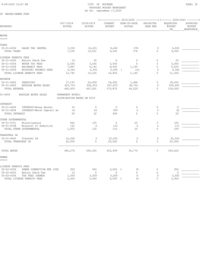50 -WATER/SEWER FUND

### PROPOSED BUDGET WORKSHEET AS OF: September 17,2020

| REVENUES                                                               | 2017-2018<br>ACTUAL        | 2018-2019<br>ACTUAL | CURRENT<br><b>BUDGET</b> | YEAR-TO-DATE<br>ACTUAL | PROJECTED<br>YEAR END | REQUESTED<br><b>BUDGET</b><br><b>DR</b> | APPROVED<br><b>BUDGET</b><br>WORKSPACE |
|------------------------------------------------------------------------|----------------------------|---------------------|--------------------------|------------------------|-----------------------|-----------------------------------------|----------------------------------------|
| WATER                                                                  |                            |                     |                          |                        |                       |                                         |                                        |
| =====                                                                  |                            |                     |                          |                        |                       |                                         |                                        |
| TAXES                                                                  |                            |                     |                          |                        |                       |                                         |                                        |
| $50 - 51 - 4106$<br>SALES TAX (WATER)                                  | 7,530                      | 12,631              | 9,240                    | 378                    | $\mathbf{0}$          | 9,000                                   |                                        |
| TOTAL TAXES                                                            | 7,530                      | 12,631              | 9,240                    | 378                    | $\Omega$              | 9,000                                   |                                        |
| LICENSE PERMITS FEES                                                   |                            |                     |                          |                        |                       |                                         |                                        |
| $50 - 51 - 4305$<br>Return Check Fee                                   | 13                         | 50                  | $\mathbf{0}$             | $\circ$                | $\mathbf{0}$          | 25                                      |                                        |
| $50 - 51 - 4306$<br>WATER TAP FEES                                     | 2,545                      | 3,000               | 3,000                    | $\mathbf{0}$           | $\mathbb O$           | 3,000                                   |                                        |
| $50 - 51 - 4308$<br>RECONNECT FEES                                     | 7,887                      | 9,140               | 8,450                    | 1,150                  | $\mathbf{0}$          | 5,000                                   |                                        |
| $50 - 51 - 4309$<br>MISSOURI PRIMACY FEES                              | 3,340                      | 3,335               | 3,400                    | 10)<br>$\left($        | $\circ$               | 3,340                                   |                                        |
| TOTAL LICENSE PERMITS FEES                                             | 13,785                     | 15,525              | 14,850                   | 1,140                  | $\Omega$              | 11,365                                  |                                        |
| REVENUE                                                                |                            |                     |                          |                        |                       |                                         |                                        |
| $50 - 51 - 4402$<br>PENALTIES                                          | 17,197                     | 24,859              | 18,000                   | 1,468                  | $\mathbf{0}$          | 18,000                                  |                                        |
| $50 - 51 - 4405$<br>REGULAR WATER SALES                                | 423,733                    | 642,203             | 557,870                  | 42,761                 | $\Omega$              | 500,000                                 |                                        |
| TOTAL REVENUE                                                          | 440,929                    | 667,061             | 575,870                  | 44,229                 | $\Omega$              | 518,000                                 |                                        |
| $51 - 4405$<br>REGULAR WATER SALES                                     | PERMANENT NOTES:           |                     |                          |                        |                       |                                         |                                        |
|                                                                        | DISTRIBUTION BASED ON FY19 |                     |                          |                        |                       |                                         |                                        |
|                                                                        |                            |                     |                          |                        |                       |                                         |                                        |
| INTEREST<br>$50 - 51 - 4600$                                           | 14                         | $\circ$             | $\circ$                  | $\circ$                | $\mathbf{0}$          | $\mathbf{0}$                            |                                        |
| INTEREST-Money Market<br>$50 - 51 - 4604$<br>INTEREST-Meter Deposit Ac | 16                         | 22                  | 929                      | 2                      | $\circ$               | 22                                      |                                        |
| TOTAL INTEREST                                                         | 29                         | 22                  | 929                      | $\mathcal{L}$          | $\Omega$              | 22                                      |                                        |
|                                                                        |                            |                     |                          |                        |                       |                                         |                                        |
| OTHER GOVERNMENTAL                                                     |                            |                     |                          |                        |                       |                                         |                                        |
| $50 - 51 - 4701$<br>Miscellaneous                                      | 862                        | 125                 | $\mathbf{0}$             | 25                     | $\mathbf{0}$          | 125                                     |                                        |
| $50 - 51 - 4708$<br>Missouri 2% Deduction                              | 141                        | $\mathbf{0}$        | 110                      | $\mathbf{0}$           | $\Omega$              | 110                                     |                                        |
| TOTAL OTHER GOVERNMENTAL                                               | 1,003                      | 125                 | 110                      | 25                     | $\Omega$              | 235                                     |                                        |
| TRANSFERS IN                                                           |                            |                     |                          |                        |                       |                                         |                                        |
| $50 - 51 - 4900$<br>Transfer IN                                        | 22,000                     | $\circ$             | 25,000                   | $\circ$                | $\mathbf 0$           | 25,000                                  |                                        |
| TOTAL TRANSFERS IN                                                     | 22,000                     | $\mathbf 0$         | 25,000                   | 0                      | $\circ$               | 25,000                                  |                                        |
| TOTAL WATER                                                            | 485,276                    | 695,365             | 625,999                  | 45,774                 | $\circ$               | 563,622                                 |                                        |
|                                                                        |                            |                     |                          |                        |                       |                                         |                                        |
| SEWER<br>=====                                                         |                            |                     |                          |                        |                       |                                         |                                        |
| LICENSE PERMITS FEES                                                   |                            |                     |                          |                        |                       |                                         |                                        |
| $50 - 52 - 4304$<br>SEWER CONNECTION FEE (STA                          | 939                        | 954                 | 3,000(                   | 9)                     | $\circ$               | 954                                     |                                        |
| $50 - 52 - 4305$<br>Return Check Fee                                   | 13                         | $\mathbf{0}$        | $\circ$                  | $\overline{0}$         | $\mathbf{0}$          | $\mathbf{0}$                            |                                        |
| $50 - 52 - 4306$<br>TAP FEES (SEWER)                                   | 1,500                      | 3,000               | 3,000                    | $\circ$                | $\Omega$              | 3,000                                   |                                        |
| TOTAL LICENSE PERMITS FEES                                             | 2,452                      | 3,954               | 6,000                    | 9)                     | $\Omega$              | 3,954                                   |                                        |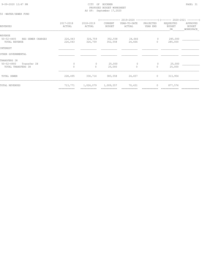#### 9-09-2020 12:47 PM CITY OF BUCKNER PAGE: 31 PROPOSED BUDGET WORKSHEET AS OF: September 17,2020

#### 50 -WATER/SEWER FUND

|                                                                       |                        |                          |                          | ------------- 2019-2020 ----------------) (------- 2020-2021 --------) |                              |                           |                                 |
|-----------------------------------------------------------------------|------------------------|--------------------------|--------------------------|------------------------------------------------------------------------|------------------------------|---------------------------|---------------------------------|
| REVENUES                                                              | 2017-2018<br>ACTUAL    | 2018-2019<br>ACTUAL      | CURRENT<br>BUDGET        | YEAR-TO-DATE<br>ACTUAL                                                 | PROJECTED<br>YEAR END        | REQUESTED<br>BUDGET<br>DR | APPROVED<br>BUDGET<br>WORKSPACE |
| REVENUE<br>$50 - 52 - 4405$<br>REG SEWER CHARGES<br>TOTAL REVENUE     | 226,043<br>226,043     | 326,759<br>326,759       | 352,558<br>352,558       | 24,666<br>24,666                                                       | $\circ$<br>$\Omega$          | 285,000<br>285,000        |                                 |
| INTEREST                                                              |                        |                          |                          |                                                                        |                              |                           |                                 |
| OTHER GOVERNMENTAL                                                    |                        |                          |                          |                                                                        |                              |                           |                                 |
| TRANSFERS IN<br>$50 - 52 - 4900$<br>Transfer IN<br>TOTAL TRANSFERS IN | $\circ$<br>$\Omega$    | 0<br>$\circ$             | 25,000<br>25,000         | $\circ$                                                                | $\mathbf{0}$<br>$\mathbf{0}$ | 25,000<br>25,000          |                                 |
| TOTAL SEWER                                                           | 228,495                | 330,714                  | 383,558                  | 24,657                                                                 | $\circ$                      | 313,954                   |                                 |
| TOTAL REVENUES                                                        | 713,771<br>=========== | 1,026,079<br>----------- | 1,009,557<br>----------- | 70,431                                                                 | $\circ$                      | 877,576                   |                                 |
|                                                                       |                        |                          |                          |                                                                        |                              |                           |                                 |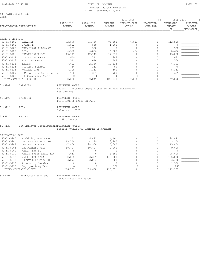#### $9-09-2020$   $12:47$  PM  $PAGE: 32$ PROPOSED BUDGET WORKSHEET AS OF: September 17,2020

|                                                     |                                            |                                                                                                                                            |                     |                          |                        |                       | (-------------- 2019-2020 -----------------) (------- 2020-2021 --------) |                                        |
|-----------------------------------------------------|--------------------------------------------|--------------------------------------------------------------------------------------------------------------------------------------------|---------------------|--------------------------|------------------------|-----------------------|---------------------------------------------------------------------------|----------------------------------------|
|                                                     | DEPARTMENTAL EXPENDITURES                  | 2017-2018<br>ACTUAL                                                                                                                        | 2018-2019<br>ACTUAL | CURRENT<br><b>BUDGET</b> | YEAR-TO-DATE<br>ACTUAL | PROJECTED<br>YEAR END | REQUESTED<br><b>BUDGET</b><br>DR                                          | APPROVED<br><b>BUDGET</b><br>WORKSPACE |
| WAGES & BENEFITS                                    |                                            |                                                                                                                                            |                     |                          |                        |                       |                                                                           |                                        |
| $50 - 51 - 5101$                                    | SALARIES                                   | 72,579                                                                                                                                     | 71,456              | 86,385                   | 6,811                  | $\circ$               | 112,500                                                                   |                                        |
| $50 - 51 - 5102$                                    | OVERTIME                                   | 1,592                                                                                                                                      | 539                 | 1,400                    | $\circ$                | $\Omega$              | $\circ$                                                                   |                                        |
| $50 - 51 - 5103$                                    | CELL PHONE ALLOWANCE                       | 263                                                                                                                                        | 528                 | $\mathbf{0}$             | $\circ$                | $\circ$               | 528                                                                       |                                        |
| $50 - 51 - 5120$                                    | FICA                                       | 4,322                                                                                                                                      | 5,806               | 6,608                    | 454                    | $\Omega$              | 8,606                                                                     |                                        |
| $50 - 51 - 5121$                                    | HEALTH INSURANCE                           | 13,149                                                                                                                                     | 12,143              | 17,819                   | $\circ$                | $\mathbf 0$           | 13,080                                                                    |                                        |
| $50 - 51 - 5122$                                    | DENTAL INSURANCE                           | 649                                                                                                                                        | 741                 | 903                      | $\Omega$               | $\Omega$              | 633                                                                       |                                        |
| $50 - 51 - 5123$                                    | LIFE INSURANCE                             | 511                                                                                                                                        | 1,044               | 482                      | $\Omega$               | $\Omega$              | 508                                                                       |                                        |
| $50 - 51 - 5124$                                    | LAGERS                                     | 7,692                                                                                                                                      | 2,386               | 10,125                   | $\mathbf{0}$           | $\circ$               | 8,193                                                                     |                                        |
| $50 - 51 - 5125$                                    | VISION INSURANCE                           | 66                                                                                                                                         | 151                 | 89                       | $\circ$                | $\mathbf 0$           | 70                                                                        |                                        |
| $50 - 51 - 5126$                                    | WORKERS COMP                               | 7,109                                                                                                                                      | 5,133               | 500                      | $\Omega$               | $\Omega$              | 5,133                                                                     |                                        |
| $50 - 51 - 5127$                                    | HSA Employer Contribution                  | 938                                                                                                                                        | 307                 | 729                      | $\Omega$               | $\circ$               | 639                                                                       |                                        |
| $50 - 51 - 5128$                                    | EE Background Check                        | $\mathbf{0}$                                                                                                                               | 14                  | $\Omega$                 | $\Omega$               | $\Omega$              | $\Omega$                                                                  |                                        |
|                                                     | TOTAL WAGES & BENEFITS                     | 108,868                                                                                                                                    | 100,249             | 125,040                  | 7,265                  | $\Omega$              | 149,890                                                                   |                                        |
| $51 - 5101$<br>$51 - 5102$                          | SALARIES<br>OVERTIME                       | PERMANENT NOTES:<br>LAGERS & INSURANCE COSTS ACCRUE TO PRIMARY DEPARTMENT<br>ASSIGNMENTS<br>PERMANENT NOTES:<br>DISTRIBUTION BASED ON FY19 |                     |                          |                        |                       |                                                                           |                                        |
| $51 - 5120$                                         | FICA                                       | PERMANENT NOTES:                                                                                                                           |                     |                          |                        |                       |                                                                           |                                        |
|                                                     |                                            | Salaries x .0765                                                                                                                           |                     |                          |                        |                       |                                                                           |                                        |
| $51 - 5124$                                         | LAGERS                                     | PERMANENT NOTES:<br>11.5% of wages                                                                                                         |                     |                          |                        |                       |                                                                           |                                        |
|                                                     | HSA Employer ContributionsPERMANENT NOTES: | BENEFIT ACCRUES TO PRIMARY DEPARTMENT                                                                                                      |                     |                          |                        |                       |                                                                           |                                        |
|                                                     |                                            |                                                                                                                                            |                     |                          |                        |                       |                                                                           |                                        |
| $50 - 51 - 5200$                                    | Liability Insurance                        | 2,141                                                                                                                                      | 6,422               | 26,161                   | $\circ$                | $\circ$               | 28,072                                                                    |                                        |
| $50 - 51 - 5201$                                    | Contractual Services                       | 15,740                                                                                                                                     | 4,279               | 3,200                    | $\circ$                | $\Omega$              | 3,200                                                                     |                                        |
| $50 - 51 - 5202$                                    | CONTRACTOR FEES                            | 47,856                                                                                                                                     | 28,900              | 15,000                   | $\Omega$               | $\Omega$              | 15,000                                                                    |                                        |
| $50 - 51 - 5203$                                    | ENGINEERING FEES                           | 10,407                                                                                                                                     | 10,407              | 9,000                    | $\circ$                | $\mathbf 0$           | 9,000                                                                     |                                        |
| $50 - 51 - 5209$                                    | WATER REFUNDS                              | 9                                                                                                                                          | $\circ$             | $\mathbf{0}$             | $\Omega$               | $\circ$               | $\circ$                                                                   |                                        |
| $50 - 51 - 5211$                                    | WATERS SALES-SALES TAX                     | 7,051                                                                                                                                      | $\circ$             | 8,850                    | $\Omega$               | $\circ$               | 25,000                                                                    |                                        |
| $50 - 51 - 5212$                                    | WATER PURCHASES                            | 180,255                                                                                                                                    | 183,389             | 148,000                  | $\Omega$               | $\circ$               | 135,000                                                                   |                                        |
| $50 - 51 - 5213$                                    | MO WATER-PRIMACY FEE                       | 3,273                                                                                                                                      | 3,263               | 3,300                    | $\circ$                | $\Omega$              | 3,300                                                                     |                                        |
| $50 - 51 - 5223$                                    | Accounting Services                        | $\circ$                                                                                                                                    | $\circ$             | $\circ$                  | $\Omega$               | $\Omega$              | 2,500                                                                     |                                        |
| $51 - 5127$<br>CONTRACTUAL SVCS<br>$50 - 51 - 5225$ | Employee Drug Tests                        | $\circ$                                                                                                                                    | $\circ$             | 160                      | $\mathbf{0}$           | $\circ$               | 160                                                                       |                                        |

51-5201 Contractual Services PERMANENT NOTES:

Zenner annual fee \$3200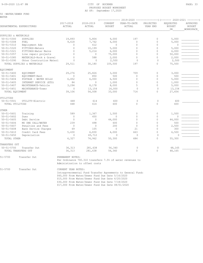50 -WATER/SEWER FUND

| WATER                     |                            |                     |                     |                          | 2019-2020              | ------------          | (------- 2020-2021 --------)     |                                 |
|---------------------------|----------------------------|---------------------|---------------------|--------------------------|------------------------|-----------------------|----------------------------------|---------------------------------|
| DEPARTMENTAL EXPENDITURES |                            | 2017-2018<br>ACTUAL | 2018-2019<br>ACTUAL | CURRENT<br><b>BUDGET</b> | YEAR-TO-DATE<br>ACTUAL | PROJECTED<br>YEAR END | REQUESTED<br><b>BUDGET</b><br>DR | APPROVED<br>BUDGET<br>WORKSPACE |
| SUPPLIES & MATERIALS      |                            |                     |                     |                          |                        |                       |                                  |                                 |
| $50 - 51 - 5300$          | SUPPLIES                   | 19,893              | 5,804               | 9,000                    | 197                    |                       | 5,000                            |                                 |
| $50 - 51 - 5308$          | FUEL                       | 9,618               | 7,762               | 6,000                    |                        |                       | 5,000                            |                                 |
| $50 - 51 - 5310$          | Employment Ads             |                     | 612                 | $\Omega$                 |                        |                       |                                  |                                 |
| $50 - 51 - 5320$          | FITTINGS-Meters            |                     | 10,199              | 5,000                    |                        |                       | 5,000                            |                                 |
| $50 - 51 - 5321$          | FITTINGS-Water Mains       |                     | 5,214               | 6,000                    |                        |                       | 6,000                            |                                 |
| $50 - 51 - 5357$          | Line repair projects       |                     | $\Omega$            | 75,000                   |                        |                       | 50,000                           |                                 |
| $50 - 51 - 5385$          | MATERIALS-Rock & Gravel    |                     | 588                 | 2,000                    |                        |                       | 2,000                            |                                 |
| $50 - 51 - 5390$          | Ohter Construction Materi  |                     |                     | 2,500                    |                        |                       | 2,500                            |                                 |
|                           | TOTAL SUPPLIES & MATERIALS | 29,511              | 30,180              | 105,500                  | 197                    |                       | 75,500                           |                                 |
| EQUIPMENT                 |                            |                     |                     |                          |                        |                       |                                  |                                 |
| $50 - 51 - 5400$          | EQUIPMENT                  | 29,276              | 25,826              | 3,000                    | 709                    |                       | 3,000                            |                                 |
| $50 - 51 - 5401$          | EQUIPMENT-Rent             |                     | 850                 | 500                      |                        |                       | 500                              |                                 |
| $50 - 51 - 5404$          | POSTAGE - WATER BILLS      | 6,452               | 6,000               | 6,500                    |                        |                       | 5,000                            |                                 |
| $50 - 51 - 5405$          | INTERNET SERVICE (ETS)     | 84                  | $\Omega$            | 1,000                    |                        |                       | 1,000                            |                                 |
| $50 - 51 - 5407$          | MAINTENANCE-Vehicle        | 3,294               | 8,178               | 8,000                    |                        |                       | 5,000                            |                                 |
| $50 - 51 - 5451$          | MAINTENANCE-Tower          |                     | 13,154              | 14,000                   |                        |                       | 13,154                           |                                 |
|                           |                            |                     |                     |                          |                        |                       |                                  |                                 |

| TOTAL EQUIPMENT     |                      | 39,106           | 54,008   | 33,000 | 714     | $\circ$  | 27,654 |  |
|---------------------|----------------------|------------------|----------|--------|---------|----------|--------|--|
| UTILITIES           |                      |                  |          |        |         |          |        |  |
| $50 - 51 - 5501$    | UTILITY-Electric     | 448              | 614      | 600    | $\circ$ | $\Omega$ | 600    |  |
| TOTAL UTILITIES     |                      | 448              | 614      | 600    | O       | $\Omega$ | 600    |  |
| OTHER               |                      |                  |          |        |         |          |        |  |
| $50 - 51 - 5601$    | Training             | 589              | 1,367    | 1,500  |         |          | 1,500  |  |
| $50 - 51 - 5602$    | Dues                 |                  | 450      |        |         |          |        |  |
| $50 - 51 - 5605$    | Debt Service         |                  | $\Omega$ | 44,000 |         |          | 44,000 |  |
| $50 - 51 - 5606$    | MO ONE CALL/WATER    | 239              | 498      | 600    |         |          | 500    |  |
| $50 - 51 - 5607$    | Penalties and Fees   |                  | $\Omega$ | 200    |         |          | 2,500  |  |
| $50 - 51 - 5608$    | Bank Service Charges | 69               | 105      |        | 21      |          | 300    |  |
| $50 - 51 - 5610$    | Credit Card Fees     | 5,430            | 6,830    | 4,000  | 663     |          | 6,500  |  |
| $50 - 51 - 5650$    | Depreciation         | 0                | 65,712   |        | $\circ$ |          |        |  |
| TOTAL OTHER         |                      | 6,327            | 74,962   | 50,300 | 684     | 0        | 55,300 |  |
| TRANSFERS OUT       |                      |                  |          |        |         |          |        |  |
| $50 - 51 - 5700$    | Transfer Out         | 36,313           | 281,638  | 56,340 | $\circ$ | 0        | 48,165 |  |
| TOTAL TRANSFERS OUT |                      | 36,313           | 281,638  | 56,340 |         | $\Omega$ | 48,165 |  |
| $51 - 5700$         | Transfer Out         | PERMANENT NOTES: |          |        |         |          |        |  |

 Per Ordinance 700.310 transfers 7.5% of water revenues to Administration to offset costs

51-5700 Transfer Out CURRENT YEAR NOTES: Intragovernmental Fund Transfer Agreements to General Fund: \$60,000 From Water/Sewer Fund Due Date 5/16/2020 \$15,000 From Water/Sewer Fund Due Date 6/20/2020 \$30,000 From Water/Sewer Fund Due Date 7/18/2020 \$17,000 From Water/Sewer Fund Due Date 08/01/2020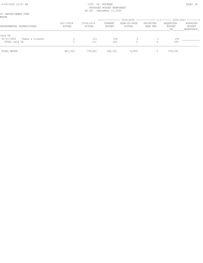#### 9-09-2020 12:47 PM PAGE: 34 PROPOSED BUDGET WORKSHEET AS OF: September 17,2020

|       | 50 -WATER/SEWER FUND |  |
|-------|----------------------|--|
| WATER |                      |  |

|                                                |                     |                     | -----------       |                        | $2019-2020$ ----------------) (------- 2020-2021 --------) |                           |                                 |
|------------------------------------------------|---------------------|---------------------|-------------------|------------------------|------------------------------------------------------------|---------------------------|---------------------------------|
| DEPARTMENTAL EXPENDITURES                      | 2017-2018<br>ACTUAL | 2018-2019<br>ACTUAL | CURRENT<br>BUDGET | YEAR-TO-DATE<br>ACTUAL | PROJECTED<br>YEAR END                                      | REQUESTED<br>BUDGET<br>DR | APPROVED<br>BUDGET<br>WORKSPACE |
| catq 58<br>$50 - 51 - 5800$<br>Taxes & License |                     | 111                 | 100               | $\Omega$               |                                                            | 250                       |                                 |
| TOTAL catq 58                                  |                     | 111                 | 100               |                        |                                                            | 250                       |                                 |
| TOTAL WATER                                    | 487,302             | 778,420             | 584,551           | 8,859                  |                                                            | 578,591                   |                                 |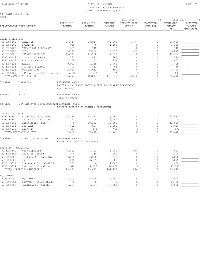#### 9-09-2020 12:47 PM CITY OF BUCKNER PAGE: 35 PROPOSED BUDGET WORKSHEET AS OF: September 17,2020

|       | 50 -WATER/SEWER FUND |  |
|-------|----------------------|--|
| SEWER |                      |  |

| PEMEK                                |                                            |                                 |                                                       |                          | (-------------- 2019-2020 ----------------) (------- 2020-2021 --------) |                       |                                  |                                        |
|--------------------------------------|--------------------------------------------|---------------------------------|-------------------------------------------------------|--------------------------|--------------------------------------------------------------------------|-----------------------|----------------------------------|----------------------------------------|
|                                      | DEPARTMENTAL EXPENDITURES                  | 2017-2018<br>ACTUAL             | 2018-2019<br>ACTUAL                                   | CURRENT<br><b>BUDGET</b> | YEAR-TO-DATE<br>ACTUAL                                                   | PROJECTED<br>YEAR END | REQUESTED<br><b>BUDGET</b><br>DR | APPROVED<br><b>BUDGET</b><br>WORKSPACE |
|                                      |                                            |                                 |                                                       |                          |                                                                          |                       |                                  |                                        |
| WAGES & BENEFITS                     |                                            |                                 |                                                       |                          |                                                                          |                       |                                  |                                        |
| $50 - 52 - 5101$                     | SALARIES                                   | 98,617                          | 88,817                                                | 82,265                   | 6,477                                                                    | $\circ$               | 41,000                           |                                        |
| $50 - 52 - 5102$                     | OVERTIME                                   | 965                             | $\circ$                                               | 1,180                    | 0                                                                        | $\mathbf 0$           | 1,180                            |                                        |
| $50 - 52 - 5103$                     | CELL PHONE ALLOWANCE                       | 399                             | 142                                                   | $\circ$                  | $\Omega$                                                                 | $\mathbf 0$           | 142                              |                                        |
| $50 - 52 - 5120$<br>$50 - 52 - 5121$ | FICA<br>HEALTH INSURANCE                   | 5,713<br>15,213                 | 7,304<br>11,790                                       | 6,293<br>17,819          | 429<br>$\Omega$                                                          | 0<br>0                | 3,075<br>12,384                  |                                        |
| $50 - 52 - 5122$                     | DENTAL INSURANCE                           | 732                             | 675                                                   | 860                      | $\Omega$                                                                 | $\mathbf 0$           | 590                              |                                        |
| $50 - 52 - 5123$                     | LIFE INSURANCE                             | 200                             | 252                                                   | 212                      | $\Omega$                                                                 | 0                     | 457                              |                                        |
| $50 - 52 - 5124$                     | LAGERS                                     | 9,943                           | 1,145                                                 | 9,700                    | $\Omega$                                                                 | $\Omega$              | 4,715                            |                                        |
| $50 - 52 - 5125$                     | VISION INSURANCE                           | 72                              | 151                                                   | 85                       | $\Omega$                                                                 | 0                     | 66                               |                                        |
| $50 - 52 - 5126$                     | WORKERS COMP                               | 2,083                           | 1,062                                                 | 500                      | $\Omega$                                                                 | $\Omega$              | 1,400                            |                                        |
| $50 - 52 - 5127$                     | HSA Employer Contribution                  | 1,438                           | 872                                                   | 729                      | $\Omega$                                                                 | $\circ$               | 639                              |                                        |
|                                      | TOTAL WAGES & BENEFITS                     | 135,374                         | 112,211                                               | 119,643                  | 6,906                                                                    | $\Omega$              | 65,648                           |                                        |
| $52 - 5101$                          | SALARIES                                   | PERMANENT NOTES:<br>ASSIGNMENTS | LAGERS & INSURANCE COSTS ACCRUE TO PRIMARY DEPARTMENT |                          |                                                                          |                       |                                  |                                        |
| $52 - 5120$                          | FICA                                       | PERMANENT NOTES:                |                                                       |                          |                                                                          |                       |                                  |                                        |
|                                      |                                            | 7.65% of wages                  |                                                       |                          |                                                                          |                       |                                  |                                        |
| 52-5127                              | HSA Employer ContributionsPERMANENT NOTES: |                                 | BENEFIT ACCRUES TO PRIMARY DEPARTMENT                 |                          |                                                                          |                       |                                  |                                        |
| CONTRACTUAL SVCS                     |                                            |                                 |                                                       |                          |                                                                          |                       |                                  |                                        |
| $50 - 52 - 5200$                     | Liability Insurance                        | 5,326                           | 15,977                                                | 26,161                   | $\mathbf{0}$                                                             | 0                     | 28,072                           |                                        |
| $50 - 52 - 5201$                     | Contractual Services                       | 373                             | $\circ$                                               | 9,000                    | $\mathbf{0}$                                                             | $\circ$               | $\mathbf 0$                      |                                        |
| $50 - 52 - 5203$                     | Engineering Fees                           | $\circ$                         | 20,153                                                | 12,000                   | $\mathbf{0}$                                                             | $\circ$               | 12,000                           |                                        |
| $50 - 52 - 5213$                     | <b>SCF FEES</b>                            | 892                             | 907                                                   | 2,000                    | $\circ$                                                                  | $\circ$               | 2,000                            |                                        |
| $50 - 52 - 5219$                     | SECURITY                                   | 434                             | 375                                                   | 600                      | $\mathbf 0$                                                              | $\mathbf 0$           | 600                              |                                        |
|                                      | TOTAL CONTRACTUAL SVCS                     | 7,025                           | 37,412                                                | 49,761                   | $\Omega$                                                                 | $\Omega$              | 42,672                           |                                        |
| $52 - 5201$                          | Contractual Services                       | PERMANENT NOTES:                | Annual Contract for UV system                         |                          |                                                                          |                       |                                  |                                        |
| SUPPLIES & MATERIALS                 |                                            |                                 |                                                       |                          |                                                                          |                       |                                  |                                        |
| $50 - 52 - 5300$                     | WWTP Supplies                              | 2,582                           | 3,721                                                 | 3,000                    | 874                                                                      | $\circ$               | 4,000                            |                                        |
| $50 - 52 - 5302$                     | SUPPLIES-Office                            | $\mathbf{0}$                    | 158                                                   | 200                      | $\Omega$                                                                 | $\mathbf 0$           | 200                              |                                        |
| $50 - 52 - 5305$                     | Ft Osage Drainage Dist                     | 5,038                           | 5,038                                                 | 5,038                    | $\mathbf{0}$                                                             | $\mathbf 0$           | 6,000                            |                                        |
| $50 - 52 - 5308$                     | Fuel                                       | 840                             | 3,489                                                 | 2,500                    | $\circ$                                                                  | $\circ$               | 1,875                            |                                        |
| $50 - 52 - 5319$                     | Glassware for Lab-WWTP                     | 755                             | $\circ$                                               | 1,000                    | $\mathbf{0}$                                                             | $\circ$               | 1,000                            |                                        |
| $50 - 52 - 5357$                     | Inflow/Infiltraiion                        | 814                             | 4,017                                                 | 90,000                   | $\Omega$                                                                 | $\circ$               | 40,000                           |                                        |
|                                      | TOTAL SUPPLIES & MATERIALS                 | 10,029                          | 16,422                                                | 101,738                  | 874                                                                      | $\Omega$              | 53,075                           |                                        |
| EQUIPMENT                            |                                            |                                 |                                                       |                          |                                                                          |                       |                                  |                                        |
| $50 - 52 - 5400$                     | EQUIPMENT                                  | 25,802                          | 26,455                                                | 4,000                    | 709                                                                      | 0                     | 4,000                            |                                        |
| $50 - 52 - 5404$                     | POSTAGE - WATER BILLS                      | $\circ$                         | $\circ$                                               | $\circ$                  | $\mathbb O$                                                              | 0                     | 2,400                            |                                        |
| $50 - 52 - 5407$                     | MAINTENANCE-Vehicle                        | 1,234                           | 6,634                                                 | 8,000                    | 6                                                                        | $\mathbf 0$           | 5,000                            |                                        |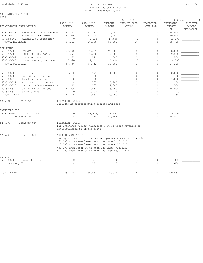#### 9-09-2020 12:47 PM PAGE: 36 PROPOSED BUDGET WORKSHEET AS OF: September 17,2020

50 -WATER/SEWER FUND

|                  |                           |                     |                                                                                                                                                                                                                   |                          | (------------- 2019-2020 ---------------) (------- 2020-2021 --------) |                       |                                  |                                        |
|------------------|---------------------------|---------------------|-------------------------------------------------------------------------------------------------------------------------------------------------------------------------------------------------------------------|--------------------------|------------------------------------------------------------------------|-----------------------|----------------------------------|----------------------------------------|
|                  | DEPARTMENTAL EXPENDITURES | 2017-2018<br>ACTUAL | 2018-2019<br>ACTUAL                                                                                                                                                                                               | CURRENT<br><b>BUDGET</b> | YEAR-TO-DATE<br>ACTUAL                                                 | PROJECTED<br>YEAR END | REQUESTED<br><b>BUDGET</b><br>DR | APPROVED<br><b>BUDGET</b><br>WORKSPACE |
| $50 - 52 - 5412$ | PUMP/BEARING REPLACEMENTS | 14,212              | 18,373                                                                                                                                                                                                            | 15,000                   | $\Omega$                                                               | $\Omega$              | 14,000                           |                                        |
| $50 - 52 - 5415$ | MAINTENANCE-Building      | 13,974              | 11,909                                                                                                                                                                                                            | 14,000                   | $\circ$                                                                | $\circ$               | 20,000                           |                                        |
| $50 - 52 - 5460$ | MAINTENANCE-Sewer Main    | $\mathbf{0}$        | 5,028                                                                                                                                                                                                             | 14,000                   | $\mathbf{0}$                                                           | $\mathbf{0}$          | 10,000                           |                                        |
| TOTAL EQUIPMENT  |                           | 55,222              | 68,399                                                                                                                                                                                                            | 55,000                   | 714                                                                    | $\mathbf 0$           | 55,400                           |                                        |
| UTILITIES        |                           |                     |                                                                                                                                                                                                                   |                          |                                                                        |                       |                                  |                                        |
| $50 - 52 - 5501$ | UTILITY-Electric          | 27,140              | 37,669                                                                                                                                                                                                            | 26,000                   | $\circ$                                                                | $\mathbf 0$           | 20,000                           |                                        |
| $50 - 52 - 5502$ | TELEPHONE/ALARM/CELL      | 471                 | 3,400                                                                                                                                                                                                             | 2,500                    | $\Omega$                                                               | $\circ$               | 2,200                            |                                        |
| $50 - 52 - 5503$ | UTILITY-Trash             | 562                 | 572                                                                                                                                                                                                               | 500                      | $\Omega$                                                               | $\Omega$              | 500                              |                                        |
| $50 - 52 - 5505$ | UTILITY-Water, Lab Fees   | 7,490               | 7,111                                                                                                                                                                                                             | 5,000                    | $\circ$                                                                | $\mathbb O$           | 4,500                            |                                        |
| TOTAL UTILITIES  |                           | 35,664              | 48,752                                                                                                                                                                                                            | 34,000                   | $\circ$                                                                | $\circ$               | 27,200                           |                                        |
| OTHER            |                           |                     |                                                                                                                                                                                                                   |                          |                                                                        |                       |                                  |                                        |
| $50 - 52 - 5601$ | Training                  | 1,408               | 797                                                                                                                                                                                                               | 1,500                    | $\mathbf{0}$                                                           | 0                     | 2,000                            |                                        |
| $50 - 52 - 5602$ | Bank Service Charges      | 3                   | $\circ$                                                                                                                                                                                                           | $\Omega$                 | $\Omega$                                                               | $\Omega$              | $\mathbf{0}$                     |                                        |
| $50 - 52 - 5610$ | Penalties and Fees        | $\mathbb O$         | $\circ$                                                                                                                                                                                                           | $\Omega$                 | $\Omega$                                                               | $\Omega$              | 1,000                            |                                        |
| $50 - 52 - 5627$ | LIFT STATION CLEANING     | $\circ$             | 2,767                                                                                                                                                                                                             | 5,200                    | $\circ$                                                                | $\mathbf 0$           | 2,250                            |                                        |
| $50 - 52 - 5628$ | INSPECTION/WWTP GENERATOR | 1,112               | 3,567                                                                                                                                                                                                             | 1,000                    | $\circ$                                                                | $\circ$               | 1,500                            |                                        |
| $50 - 52 - 5629$ | UV SYSTEM OPERATIONS      | 11,904              | 8,551                                                                                                                                                                                                             | 13,250                   | $\circ$                                                                | $\mathbf 0$           | 15,000                           |                                        |
| $50 - 52 - 5631$ | Sewer Claims              | $\Omega$            | 10,000                                                                                                                                                                                                            | 0                        | $\Omega$                                                               | $\Omega$              | 0                                |                                        |
| TOTAL OTHER      |                           | 14,426              | 25,682                                                                                                                                                                                                            | 20,950                   | $\Omega$                                                               | $\Omega$              | 21,750                           |                                        |
| 52-5601          | Training                  | PERMANENT NOTES:    | Includes Re-ceretification courses and fees                                                                                                                                                                       |                          |                                                                        |                       |                                  |                                        |
| TRANSFERS OUT    |                           |                     |                                                                                                                                                                                                                   |                          |                                                                        |                       |                                  |                                        |
| $50 - 52 - 5700$ | Transfer Out              | $\circ$             |                                                                                                                                                                                                                   |                          | $\mathbf{0}$                                                           | $\circ$               | 24,507                           |                                        |
|                  | TOTAL TRANSFERS OUT       | $\Omega$            | 48,878)<br>48,878)<br>$\sqrt{ }$                                                                                                                                                                                  | 40,942<br>40,942         | $\Omega$                                                               | $\Omega$              | 24,507                           |                                        |
| 52-5700          | Transfer Out              | PERMANENT NOTES:    | Administration to offset costs                                                                                                                                                                                    |                          | Per Ordinance 700.310 transfers 7.5% of water revenues to              |                       |                                  |                                        |
| 52-5700          | Transfer Out              | CURRENT YEAR NOTES: |                                                                                                                                                                                                                   |                          |                                                                        |                       |                                  |                                        |
|                  |                           |                     | \$60,000 From Water/Sewer Fund Due Date 5/16/2020<br>\$15,000 From Water/Sewer Fund Due Date 6/20/2020<br>\$30,000 From Water/Sewer Fund Due Date 7/18/2020<br>\$17,000 From Water/Sewer Fund Due Date 08/01/2020 |                          | Intragovernmental Fund Transfer Agreements to General Fund:            |                       |                                  |                                        |
| catq 58          |                           |                     |                                                                                                                                                                                                                   |                          |                                                                        |                       |                                  |                                        |
| $50 - 52 - 5800$ | Taxes & Licenses          | $\mathbf{0}$        | 581                                                                                                                                                                                                               | $\mathbf{0}$             | $\mathbf 0$                                                            | $\mathbf{0}$          | 600                              |                                        |
| TOTAL catg 58    |                           | $\mathbf 0$         | 581                                                                                                                                                                                                               | $\circ$                  | $\circ$                                                                | $\circ$               | 600                              |                                        |
| TOTAL SEWER      |                           | 257,740             | 260,581                                                                                                                                                                                                           | 422,034                  | 8,494                                                                  | $\circ$               | 290,852                          |                                        |
|                  |                           |                     |                                                                                                                                                                                                                   |                          |                                                                        |                       |                                  |                                        |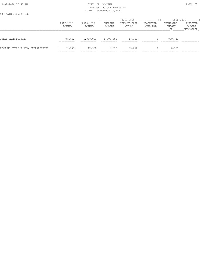#### 9-09-2020 12:47 PM CITY OF BUCKNER PAGE: 37 PROPOSED BUDGET WORKSHEET AS OF: September 17,2020

50 -WATER/SEWER FUND

|                                   | 2017-2018<br>ACTUAL                   | 2018-2019<br>ACTUAL   | CURRENT<br>BUDGET | YEAR-TO-DATE<br>ACTUAL | PROJECTED<br>YEAR END | REQUESTED<br>BUDGET<br>DR | APPROVED<br>BUDGET<br>WORKSPACE |
|-----------------------------------|---------------------------------------|-----------------------|-------------------|------------------------|-----------------------|---------------------------|---------------------------------|
| TOTAL EXPENDITURES                | 745,042<br>-----------<br>___________ | 1,039,001             | 1,006,585         | 17,353                 |                       | 869,443                   |                                 |
| REVENUE OVER/(UNDER) EXPENDITURES | 31,271)<br>___________                | 12,922)<br>$\sqrt{1}$ | 2,972             | 53,078                 |                       | 8,133                     |                                 |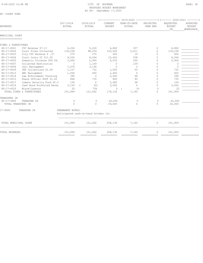#### 80 -COURT FUND

| 2017-2018<br>ACTUAL |             | 2018-2019<br>ACTUAL | CURRENT       | YEAR-TO-DATE                                         | PROJECTED   | REQUESTED           |                                        |
|---------------------|-------------|---------------------|---------------|------------------------------------------------------|-------------|---------------------|----------------------------------------|
|                     |             |                     | <b>BUDGET</b> | ACTUAL                                               | YEAR END    | <b>BUDGET</b><br>DR | APPROVED<br><b>BUDGET</b><br>WORKSPACE |
|                     |             |                     |               |                                                      |             |                     |                                        |
|                     |             |                     |               |                                                      |             |                     |                                        |
|                     |             |                     |               |                                                      |             |                     |                                        |
| 6,226               |             | 5,220               | 6,860         | 357                                                  | $\Omega$    | 6,860               |                                        |
| 118,238             |             | 98,259              | 143,000       | 5,611                                                | $\circ$     | 118,238             |                                        |
| 275                 |             | 270                 | 400           | 19                                                   | $\Omega$    | 400                 |                                        |
| 9,526               |             | 8,064               | 10,643        | 538                                                  | $\Omega$    | 8,064               |                                        |
| 3,466               |             | 2,906               | 4,033         | 200                                                  | $\Omega$    | 2,906               |                                        |
| $\Omega$            |             | 1,169               | $\Omega$      | 139                                                  | $\Omega$    | $\Omega$            |                                        |
| 7,474               |             | 3,196               | $\Omega$      | $\overline{c}$                                       | $\Omega$    | $\Omega$            |                                        |
| 1,107               |             | 732                 | 1,000         | 50                                                   | $\Omega$    | 732                 |                                        |
| 1,000               |             | 405                 | 1,400         | $\Omega$                                             | $\Omega$    | 405                 |                                        |
| 390                 |             | $\circ$             | 2,600         | 98                                                   | $\Omega$    | 390                 |                                        |
| 868                 |             | 735                 | 800           | 49                                                   | $\Omega$    | 735                 |                                        |
| 154                 |             | $\mathbf{0}$        | 5,400         | 98                                                   | $\Omega$    | 154                 |                                        |
| 3,150               |             | 32)                 | 3,000         | $\Omega$                                             | $\Omega$    | 3,000               |                                        |
| 25                  |             | 738                 | $\circ$       | 0)                                                   | $\bigcap$   | 25                  |                                        |
| 151,899             |             | 121,662             | 179,136       | 7,160                                                | $\Omega$    | 141,909             |                                        |
|                     |             |                     |               |                                                      |             |                     |                                        |
| $\circ$             |             | $\circ$             | 29,000        | 0                                                    | $\Omega$    | 20,000              |                                        |
| $\Omega$            |             | $\Omega$            | 29,000        | $\Omega$                                             | $\Omega$    | 20,000              |                                        |
|                     |             |                     |               |                                                      |             |                     |                                        |
|                     |             |                     |               |                                                      |             |                     |                                        |
| 151,899             |             | 121,662             | 208,136       | 7,160                                                | $\circ$     | 161,909             |                                        |
| 151,899             |             | 121,662             | 208,136       | 7,160                                                | $\circ$     | 161,909             |                                        |
|                     | =========== | PERMANENT NOTES:    | -----------   | Anticipated cash-on-hand October 1st<br>------------ | =========== |                     | ------------<br>---------              |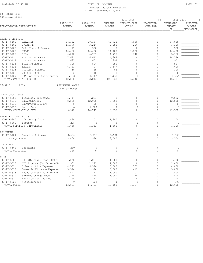| 80 | -COURT FUND     |  |
|----|-----------------|--|
|    | MUNICIPAL COURT |  |

| 2017-2018<br>ACTUAL                | 2018-2019<br>ACTUAL                                                                                                                            | CURRENT<br><b>BUDGET</b>                                                                                                                                                 | YEAR-TO-DATE<br>ACTUAL                                                                                                                                                    | PROJECTED<br>YEAR END                                                                                                                                                        | REQUESTED<br><b>BUDGET</b><br>DR                                                                                                                                            | APPROVED<br><b>BUDGET</b><br>WORKSPACE                                                                                                                   |  |  |
|------------------------------------|------------------------------------------------------------------------------------------------------------------------------------------------|--------------------------------------------------------------------------------------------------------------------------------------------------------------------------|---------------------------------------------------------------------------------------------------------------------------------------------------------------------------|------------------------------------------------------------------------------------------------------------------------------------------------------------------------------|-----------------------------------------------------------------------------------------------------------------------------------------------------------------------------|----------------------------------------------------------------------------------------------------------------------------------------------------------|--|--|
|                                    |                                                                                                                                                |                                                                                                                                                                          |                                                                                                                                                                           |                                                                                                                                                                              |                                                                                                                                                                             |                                                                                                                                                          |  |  |
|                                    |                                                                                                                                                |                                                                                                                                                                          |                                                                                                                                                                           |                                                                                                                                                                              |                                                                                                                                                                             |                                                                                                                                                          |  |  |
|                                    |                                                                                                                                                |                                                                                                                                                                          |                                                                                                                                                                           |                                                                                                                                                                              |                                                                                                                                                                             |                                                                                                                                                          |  |  |
|                                    |                                                                                                                                                |                                                                                                                                                                          |                                                                                                                                                                           |                                                                                                                                                                              |                                                                                                                                                                             |                                                                                                                                                          |  |  |
|                                    |                                                                                                                                                |                                                                                                                                                                          |                                                                                                                                                                           |                                                                                                                                                                              |                                                                                                                                                                             |                                                                                                                                                          |  |  |
|                                    |                                                                                                                                                |                                                                                                                                                                          |                                                                                                                                                                           |                                                                                                                                                                              |                                                                                                                                                                             |                                                                                                                                                          |  |  |
|                                    |                                                                                                                                                |                                                                                                                                                                          |                                                                                                                                                                           |                                                                                                                                                                              |                                                                                                                                                                             |                                                                                                                                                          |  |  |
|                                    |                                                                                                                                                |                                                                                                                                                                          | $\mathbf{0}$                                                                                                                                                              | $\mathbf 0$                                                                                                                                                                  |                                                                                                                                                                             |                                                                                                                                                          |  |  |
|                                    |                                                                                                                                                |                                                                                                                                                                          |                                                                                                                                                                           |                                                                                                                                                                              |                                                                                                                                                                             |                                                                                                                                                          |  |  |
|                                    | 797                                                                                                                                            |                                                                                                                                                                          | $\mathbf{0}$                                                                                                                                                              | $\mathbf 0$                                                                                                                                                                  |                                                                                                                                                                             |                                                                                                                                                          |  |  |
| 50                                 | 85                                                                                                                                             | 88                                                                                                                                                                       | $\mathbf{0}$                                                                                                                                                              | $\mathbf 0$                                                                                                                                                                  | 100                                                                                                                                                                         |                                                                                                                                                          |  |  |
| 26                                 | 12                                                                                                                                             | $\Omega$                                                                                                                                                                 | $\Omega$                                                                                                                                                                  | $\Omega$                                                                                                                                                                     | $\Omega$                                                                                                                                                                    |                                                                                                                                                          |  |  |
| 1,493<br>HSA Employer Contribution | 1,562                                                                                                                                          | 1,254                                                                                                                                                                    | $\Omega$                                                                                                                                                                  | $\Omega$                                                                                                                                                                     | 1,254                                                                                                                                                                       |                                                                                                                                                          |  |  |
| 112,080                            | 103,213                                                                                                                                        | 108,563                                                                                                                                                                  | 6,342                                                                                                                                                                     | $\Omega$                                                                                                                                                                     | 115,401                                                                                                                                                                     |                                                                                                                                                          |  |  |
| 7.65% of wages                     |                                                                                                                                                |                                                                                                                                                                          |                                                                                                                                                                           |                                                                                                                                                                              |                                                                                                                                                                             |                                                                                                                                                          |  |  |
|                                    |                                                                                                                                                |                                                                                                                                                                          |                                                                                                                                                                           |                                                                                                                                                                              |                                                                                                                                                                             |                                                                                                                                                          |  |  |
| 1,417                              | 4,251                                                                                                                                          | $\circ$                                                                                                                                                                  | $\circ$                                                                                                                                                                   | $\mathbf{0}$                                                                                                                                                                 | 9,522                                                                                                                                                                       |                                                                                                                                                          |  |  |
| 8,555                              | 12,905                                                                                                                                         | 8,853                                                                                                                                                                    | $\circ$                                                                                                                                                                   | $\mathbf 0$                                                                                                                                                                  | 12,000                                                                                                                                                                      |                                                                                                                                                          |  |  |
| $\mathbf{0}$                       | 85                                                                                                                                             | $\circ$                                                                                                                                                                  | $\circ$                                                                                                                                                                   | $\circ$                                                                                                                                                                      | $\circ$                                                                                                                                                                     |                                                                                                                                                          |  |  |
| $\Omega$                           | 1,500                                                                                                                                          | $\Omega$                                                                                                                                                                 | $\Omega$                                                                                                                                                                  | $\mathbf{0}$                                                                                                                                                                 | $\Omega$                                                                                                                                                                    |                                                                                                                                                          |  |  |
|                                    |                                                                                                                                                |                                                                                                                                                                          |                                                                                                                                                                           |                                                                                                                                                                              |                                                                                                                                                                             |                                                                                                                                                          |  |  |
|                                    |                                                                                                                                                |                                                                                                                                                                          |                                                                                                                                                                           |                                                                                                                                                                              |                                                                                                                                                                             |                                                                                                                                                          |  |  |
|                                    |                                                                                                                                                |                                                                                                                                                                          |                                                                                                                                                                           |                                                                                                                                                                              |                                                                                                                                                                             |                                                                                                                                                          |  |  |
|                                    |                                                                                                                                                |                                                                                                                                                                          |                                                                                                                                                                           |                                                                                                                                                                              |                                                                                                                                                                             |                                                                                                                                                          |  |  |
|                                    |                                                                                                                                                |                                                                                                                                                                          |                                                                                                                                                                           |                                                                                                                                                                              |                                                                                                                                                                             |                                                                                                                                                          |  |  |
|                                    |                                                                                                                                                |                                                                                                                                                                          |                                                                                                                                                                           |                                                                                                                                                                              |                                                                                                                                                                             |                                                                                                                                                          |  |  |
|                                    |                                                                                                                                                |                                                                                                                                                                          |                                                                                                                                                                           |                                                                                                                                                                              |                                                                                                                                                                             |                                                                                                                                                          |  |  |
|                                    |                                                                                                                                                |                                                                                                                                                                          |                                                                                                                                                                           |                                                                                                                                                                              |                                                                                                                                                                             |                                                                                                                                                          |  |  |
|                                    |                                                                                                                                                |                                                                                                                                                                          |                                                                                                                                                                           |                                                                                                                                                                              |                                                                                                                                                                             |                                                                                                                                                          |  |  |
| 280                                | $\mathbf 0$                                                                                                                                    | $\mathbf{0}$                                                                                                                                                             | $\circ$                                                                                                                                                                   | $\circ$                                                                                                                                                                      | $\mathbf 0$                                                                                                                                                                 |                                                                                                                                                          |  |  |
|                                    |                                                                                                                                                |                                                                                                                                                                          |                                                                                                                                                                           |                                                                                                                                                                              |                                                                                                                                                                             |                                                                                                                                                          |  |  |
| JEF (Mileage, Food, Hotel<br>1,540 | 1,031                                                                                                                                          | 1,600                                                                                                                                                                    | $\mathbf{0}$                                                                                                                                                              | $\mathbf 0$                                                                                                                                                                  | 1,400                                                                                                                                                                       |                                                                                                                                                          |  |  |
| JEF Expense (Conference/D<br>989   | 1,271                                                                                                                                          | 1,000                                                                                                                                                                    | $\Omega$                                                                                                                                                                  | $\Omega$                                                                                                                                                                     | 1,400                                                                                                                                                                       |                                                                                                                                                          |  |  |
| 4,791                              | 6,396                                                                                                                                          | 5,000                                                                                                                                                                    | 733                                                                                                                                                                       | $\Omega$                                                                                                                                                                     | 4,000                                                                                                                                                                       |                                                                                                                                                          |  |  |
| Domestic Violence Expense<br>3,526 | 2,994                                                                                                                                          | 3,500                                                                                                                                                                    | 412                                                                                                                                                                       | $\mathbf 0$                                                                                                                                                                  | 3,000                                                                                                                                                                       |                                                                                                                                                          |  |  |
| Peace Officer POST Expens<br>672   | 1,312                                                                                                                                          | 1,000                                                                                                                                                                    | 102                                                                                                                                                                       | $\mathbf 0$                                                                                                                                                                  | 1,400                                                                                                                                                                       |                                                                                                                                                          |  |  |
| 1,314                              | 818                                                                                                                                            | 1,000                                                                                                                                                                    | 120                                                                                                                                                                       | $\Omega$                                                                                                                                                                     | 800                                                                                                                                                                         |                                                                                                                                                          |  |  |
| 198                                | 277                                                                                                                                            | $\Omega$                                                                                                                                                                 | $\Omega$                                                                                                                                                                  | $\Omega$                                                                                                                                                                     | 300                                                                                                                                                                         |                                                                                                                                                          |  |  |
| $\mathbf{0}$                       | 322                                                                                                                                            | $\mathbf{0}$                                                                                                                                                             | $\mathbf{0}$                                                                                                                                                              | $\mathbf{0}$                                                                                                                                                                 | 300                                                                                                                                                                         |                                                                                                                                                          |  |  |
|                                    |                                                                                                                                                |                                                                                                                                                                          |                                                                                                                                                                           |                                                                                                                                                                              |                                                                                                                                                                             |                                                                                                                                                          |  |  |
|                                    | 64,342<br>11,370<br>15<br>14,400<br>4,848<br>7,672<br>685<br>399<br>6,781<br>9,972<br>1,434<br>225<br>1,659<br>3,404<br>3,404<br>280<br>13,031 | 69,167<br>3,214<br>550<br>14,400<br>5,707<br>6,613<br>601<br>504<br>PERMANENT NOTES:<br>18,741<br>1,351<br>$\Omega$<br>1,351<br>2,936<br>2,936<br>$\mathbf{0}$<br>14,421 | 62,722<br>2,450<br>$\mathbf{0}$<br>14,400<br>4,798<br>14,362<br>892<br>250<br>7,347<br>8,853<br>1,300<br>$\mathbf{0}$<br>1,300<br>3,500<br>3,500<br>$\mathbb O$<br>13,100 | 4,569<br>226<br>$\mathbf{0}$<br>1,200<br>348<br>$\mathbf{0}$<br>$\mathbf{0}$<br>$\Omega$<br>$\mathbf{0}$<br>$\Omega$<br>$\Omega$<br>$\Omega$<br>$\Omega$<br>$\circ$<br>1,367 | 0<br>$\mathbf 0$<br>$\Omega$<br>$\mathbf 0$<br>0<br>$\mathbf 0$<br>$\mathbf 0$<br>$\Omega$<br>$\circ$<br>$\theta$<br>$\Omega$<br>$\mathbb O$<br>$\mathbf 0$<br>$\circ$<br>0 | 67,089<br>3,300<br>550<br>14,400<br>5,132<br>14,546<br>903<br>527<br>7,600<br>21,522<br>1,300<br>$\circ$<br>1,300<br>3,500<br>3,500<br>$\circ$<br>12,600 |  |  |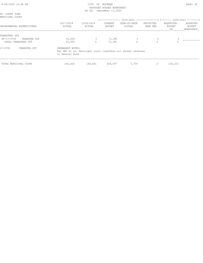| 9-09-2020 12:48 PM                                      |                                     |                                                              | PAGE: 40                 |                                                                        |                          |                                         |                                 |
|---------------------------------------------------------|-------------------------------------|--------------------------------------------------------------|--------------------------|------------------------------------------------------------------------|--------------------------|-----------------------------------------|---------------------------------|
| 80 -COURT FUND<br>MUNICIPAL COURT                       |                                     |                                                              | AS OF: September 17,2020 | ------------- 2019-2020 ----------------) (------- 2020-2021 --------) |                          |                                         |                                 |
| DEPARTMENTAL EXPENDITURES                               | 2017-2018<br>ACTUAL                 | 2018-2019<br>ACTUAL                                          | CURRENT<br><b>BUDGET</b> | YEAR-TO-DATE<br>ACTUAL                                                 | PROJECTED<br>YEAR END    | REQUESTED<br><b>BUDGET</b><br><b>DR</b> | APPROVED<br>BUDGET<br>WORKSPACE |
| TRANSFERS OUT                                           |                                     |                                                              |                          |                                                                        |                          |                                         |                                 |
| $80 - 17 - 5700$<br>TRANSFER OUT<br>TOTAL TRANSFERS OUT | 25,000<br>25,000                    | $\circ$<br>$\Omega$                                          | 71,381<br>71,381         | 0                                                                      | $\mathbf{0}$<br>$\Omega$ | 0<br>$\Omega$                           |                                 |
| 17-5700<br>TRANSFER OUT                                 | PERMANENT NOTES:<br>to General Fund | Per SB5 et al, Municipal Court transfers all excess revenues |                          |                                                                        |                          |                                         |                                 |
| TOTAL MUNICIPAL COURT                                   | 165,426                             | 140,661                                                      | 206,697                  | 7,709                                                                  | 0                        | 154,323                                 |                                 |